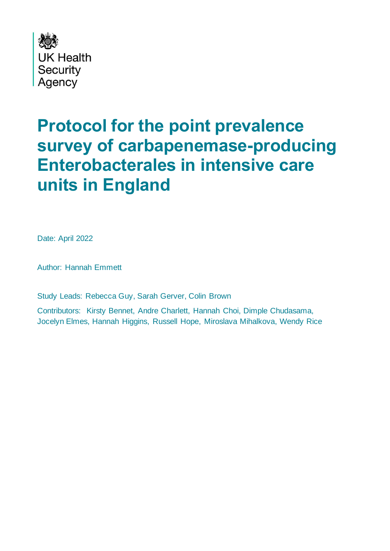

# <span id="page-0-0"></span>**Protocol for the point prevalence survey of carbapenemase-producing Enterobacterales in intensive care units in England**

Date: April 2022

Author: Hannah Emmett

Study Leads: Rebecca Guy, Sarah Gerver, Colin Brown

Contributors: Kirsty Bennet, Andre Charlett, Hannah Choi, Dimple Chudasama, Jocelyn Elmes, Hannah Higgins, Russell Hope, Miroslava Mihalkova, Wendy Rice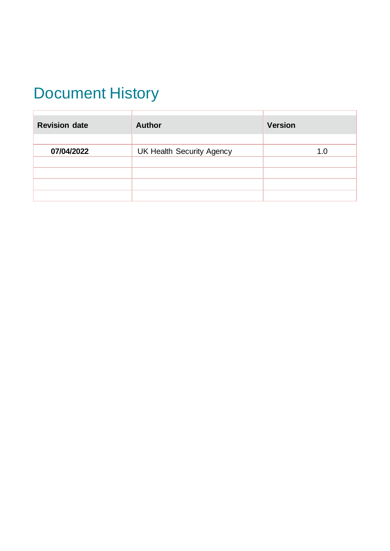# <span id="page-1-0"></span>Document History

| <b>Revision date</b> | <b>Author</b>                    | <b>Version</b> |  |
|----------------------|----------------------------------|----------------|--|
|                      |                                  |                |  |
| 07/04/2022           | <b>UK Health Security Agency</b> | 1.0            |  |
|                      |                                  |                |  |
|                      |                                  |                |  |
|                      |                                  |                |  |
|                      |                                  |                |  |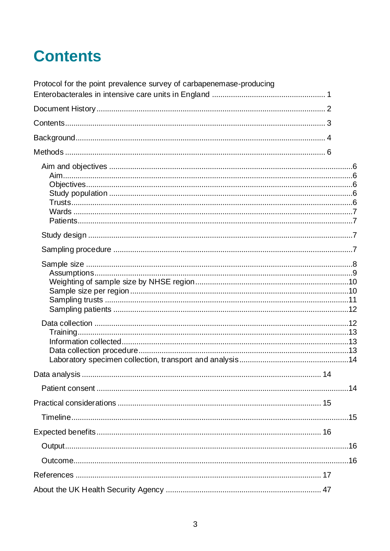# <span id="page-2-0"></span>**Contents**

<span id="page-2-1"></span>

| Protocol for the point prevalence survey of carbapenemase-producing |  |
|---------------------------------------------------------------------|--|
|                                                                     |  |
|                                                                     |  |
|                                                                     |  |
|                                                                     |  |
|                                                                     |  |
|                                                                     |  |
|                                                                     |  |
|                                                                     |  |
|                                                                     |  |
|                                                                     |  |
|                                                                     |  |
|                                                                     |  |
|                                                                     |  |
|                                                                     |  |
|                                                                     |  |
|                                                                     |  |
|                                                                     |  |
|                                                                     |  |
|                                                                     |  |
|                                                                     |  |
|                                                                     |  |
|                                                                     |  |
|                                                                     |  |
|                                                                     |  |
|                                                                     |  |
|                                                                     |  |
|                                                                     |  |
|                                                                     |  |
|                                                                     |  |
|                                                                     |  |
|                                                                     |  |
|                                                                     |  |
|                                                                     |  |
|                                                                     |  |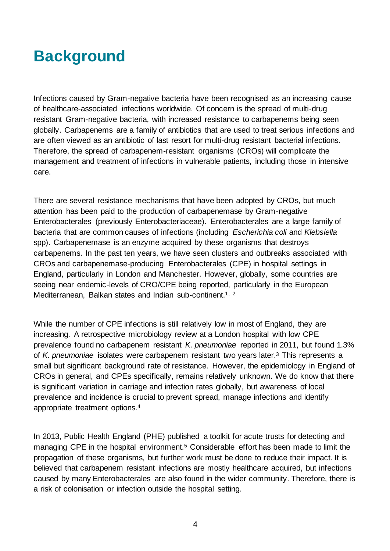### **Background**

Infections caused by Gram-negative bacteria have been recognised as an increasing cause of healthcare-associated infections worldwide. Of concern is the spread of multi-drug resistant Gram-negative bacteria, with increased resistance to carbapenems being seen globally. Carbapenems are a family of antibiotics that are used to treat serious infections and are often viewed as an antibiotic of last resort for multi-drug resistant bacterial infections. Therefore, the spread of carbapenem-resistant organisms (CROs) will complicate the management and treatment of infections in vulnerable patients, including those in intensive care.

There are several resistance mechanisms that have been adopted by CROs, but much attention has been paid to the production of carbapenemase by Gram-negative Enterobacterales (previously Enterobacteriaceae). Enterobacterales are a large family of bacteria that are common causes of infections (including *Escherichia coli* and *Klebsiella* spp). Carbapenemase is an enzyme acquired by these organisms that destroys carbapenems. In the past ten years, we have seen clusters and outbreaks associated with CROs and carbapenemase-producing Enterobacterales (CPE) in hospital settings in England, particularly in London and Manchester. However, globally, some countries are seeing near endemic-levels of CRO/CPE being reported, particularly in the European Mediterranean, Balkan states and Indian sub-continent.<sup>1, 2</sup>

While the number of CPE infections is still relatively low in most of England, they are increasing. A retrospective microbiology review at a London hospital with low CPE prevalence found no carbapenem resistant *K. pneumoniae* reported in 2011, but found 1.3% of *K. pneumoniae* isolates were carbapenem resistant two years later.<sup>3</sup> This represents a small but significant background rate of resistance. However, the epidemiology in England of CROs in general, and CPEs specifically, remains relatively unknown. We do know that there is significant variation in carriage and infection rates globally, but awareness of local prevalence and incidence is crucial to prevent spread, manage infections and identify appropriate treatment options.<sup>4</sup>

In 2013, Public Health England (PHE) published a toolkit for acute trusts for detecting and managing CPE in the hospital environment.<sup>5</sup> Considerable effort has been made to limit the propagation of these organisms, but further work must be done to reduce their impact. It is believed that carbapenem resistant infections are mostly healthcare acquired, but infections caused by many Enterobacterales are also found in the wider community. Therefore, there is a risk of colonisation or infection outside the hospital setting.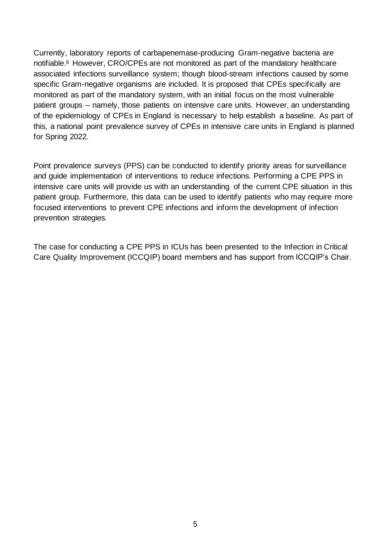Currently, laboratory reports of carbapenemase-producing Gram-negative bacteria are notifiable.<sup>6</sup> However, CRO/CPEs are not monitored as part of the mandatory healthcare associated infections surveillance system; though blood-stream infections caused by some specific Gram-negative organisms are included. It is proposed that CPEs specifically are monitored as part of the mandatory system, with an initial focus on the most vulnerable patient groups – namely, those patients on intensive care units. However, an understanding of the epidemiology of CPEs in England is necessary to help establish a baseline. As part of this, a national point prevalence survey of CPEs in intensive care units in England is planned for Spring 2022.

Point prevalence surveys (PPS) can be conducted to identify priority areas for surveillance and guide implementation of interventions to reduce infections. Performing a CPE PPS in intensive care units will provide us with an understanding of the current CPE situation in this patient group. Furthermore, this data can be used to identify patients who may require more focused interventions to prevent CPE infections and inform the development of infection prevention strategies.

The case for conducting a CPE PPS in ICUs has been presented to the Infection in Critical Care Quality Improvement (ICCQIP) board members and has support from ICCQIP's Chair.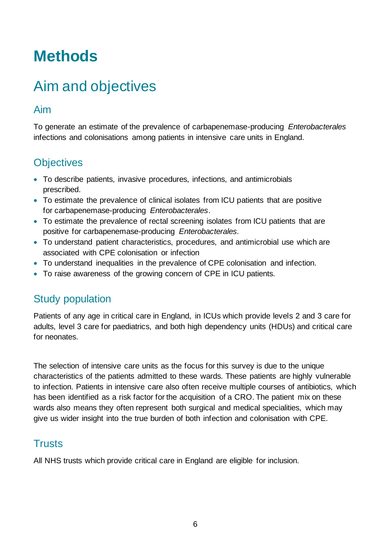### <span id="page-5-0"></span>**Methods**

### <span id="page-5-1"></span>Aim and objectives

#### <span id="page-5-2"></span>Aim

To generate an estimate of the prevalence of carbapenemase-producing *Enterobacterales* infections and colonisations among patients in intensive care units in England.

### <span id="page-5-3"></span>**Objectives**

- To describe patients, invasive procedures, infections, and antimicrobials prescribed.
- To estimate the prevalence of clinical isolates from ICU patients that are positive for carbapenemase-producing *Enterobacterales*.
- To estimate the prevalence of rectal screening isolates from ICU patients that are positive for carbapenemase-producing *Enterobacterales.*
- To understand patient characteristics, procedures, and antimicrobial use which are associated with CPE colonisation or infection
- To understand inequalities in the prevalence of CPE colonisation and infection.
- To raise awareness of the growing concern of CPE in ICU patients.

#### <span id="page-5-4"></span>Study population

Patients of any age in critical care in England, in ICUs which provide levels 2 and 3 care for adults, level 3 care for paediatrics, and both high dependency units (HDUs) and critical care for neonates.

The selection of intensive care units as the focus for this survey is due to the unique characteristics of the patients admitted to these wards. These patients are highly vulnerable to infection. Patients in intensive care also often receive multiple courses of antibiotics, which has been identified as a risk factor for the acquisition of a CRO. The patient mix on these wards also means they often represent both surgical and medical specialities, which may give us wider insight into the true burden of both infection and colonisation with CPE.

#### <span id="page-5-5"></span>**Trusts**

All NHS trusts which provide critical care in England are eligible for inclusion.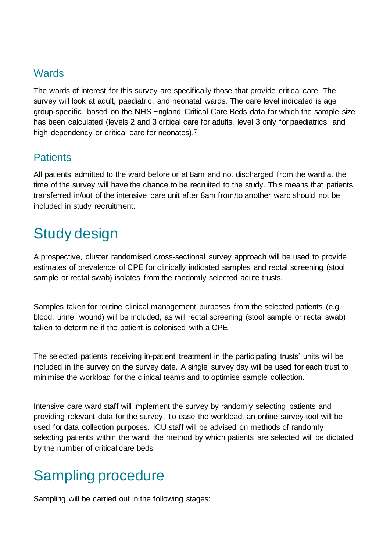#### <span id="page-6-0"></span>**Wards**

The wards of interest for this survey are specifically those that provide critical care. The survey will look at adult, paediatric, and neonatal wards. The care level indicated is age group-specific, based on the NHS England Critical Care Beds data for which the sample size has been calculated (levels 2 and 3 critical care for adults, level 3 only for paediatrics, and high dependency or critical care for neonates).<sup>7</sup>

#### <span id="page-6-1"></span>**Patients**

All patients admitted to the ward before or at 8am and not discharged from the ward at the time of the survey will have the chance to be recruited to the study. This means that patients transferred in/out of the intensive care unit after 8am from/to another ward should not be included in study recruitment.

### <span id="page-6-2"></span>Study design

A prospective, cluster randomised cross-sectional survey approach will be used to provide estimates of prevalence of CPE for clinically indicated samples and rectal screening (stool sample or rectal swab) isolates from the randomly selected acute trusts.

Samples taken for routine clinical management purposes from the selected patients (e.g. blood, urine, wound) will be included, as will rectal screening (stool sample or rectal swab) taken to determine if the patient is colonised with a CPE.

The selected patients receiving in-patient treatment in the participating trusts' units will be included in the survey on the survey date. A single survey day will be used for each trust to minimise the workload for the clinical teams and to optimise sample collection.

Intensive care ward staff will implement the survey by randomly selecting patients and providing relevant data for the survey. To ease the workload, an online survey tool will be used for data collection purposes. ICU staff will be advised on methods of randomly selecting patients within the ward; the method by which patients are selected will be dictated by the number of critical care beds.

### <span id="page-6-3"></span>Sampling procedure

Sampling will be carried out in the following stages: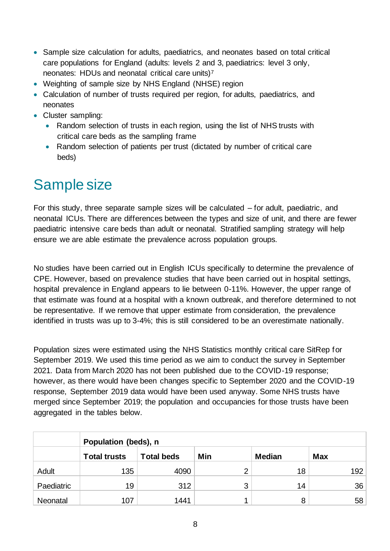- Sample size calculation for adults, paediatrics, and neonates based on total critical care populations for England (adults: levels 2 and 3, paediatrics: level 3 only, neonates: HDUs and neonatal critical care units)<sup>7</sup>
- Weighting of sample size by NHS England (NHSE) region
- Calculation of number of trusts required per region, for adults, paediatrics, and neonates
- Cluster sampling:
	- Random selection of trusts in each region, using the list of NHS trusts with critical care beds as the sampling frame
	- Random selection of patients per trust (dictated by number of critical care beds)

### <span id="page-7-0"></span>Sample size

For this study, three separate sample sizes will be calculated – for adult, paediatric, and neonatal ICUs. There are differences between the types and size of unit, and there are fewer paediatric intensive care beds than adult or neonatal. Stratified sampling strategy will help ensure we are able estimate the prevalence across population groups.

No studies have been carried out in English ICUs specifically to determine the prevalence of CPE. However, based on prevalence studies that have been carried out in hospital settings, hospital prevalence in England appears to lie between 0-11%. However, the upper range of that estimate was found at a hospital with a known outbreak, and therefore determined to not be representative. If we remove that upper estimate from consideration, the prevalence identified in trusts was up to 3-4%; this is still considered to be an overestimate nationally.

Population sizes were estimated using the NHS Statistics monthly critical care SitRep for September 2019. We used this time period as we aim to conduct the survey in September 2021. Data from March 2020 has not been published due to the COVID-19 response; however, as there would have been changes specific to September 2020 and the COVID-19 response, September 2019 data would have been used anyway. Some NHS trusts have merged since September 2019; the population and occupancies for those trusts have been aggregated in the tables below.

|            | Population (beds), n |                   |     |               |            |  |  |
|------------|----------------------|-------------------|-----|---------------|------------|--|--|
|            | <b>Total trusts</b>  | <b>Total beds</b> | Min | <b>Median</b> | <b>Max</b> |  |  |
| Adult      | 135                  | 4090              | っ   | 18            | 192        |  |  |
| Paediatric | 19                   | 312               | 3   | 14            | 36         |  |  |
| Neonatal   | 107                  | 1441              |     | 8             | 58         |  |  |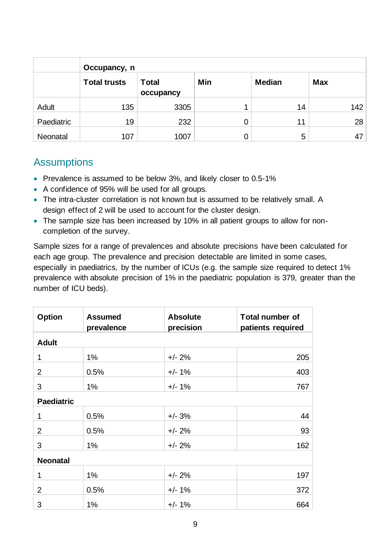|            | Occupancy, n        |                           |     |               |            |  |  |
|------------|---------------------|---------------------------|-----|---------------|------------|--|--|
|            | <b>Total trusts</b> | <b>Total</b><br>occupancy | Min | <b>Median</b> | <b>Max</b> |  |  |
| Adult      | 135                 | 3305                      |     | 14            | 142        |  |  |
| Paediatric | 19                  | 232                       |     | 11            | 28         |  |  |
| Neonatal   | 107                 | 1007                      |     | 5             | 47         |  |  |

#### <span id="page-8-0"></span>**Assumptions**

- Prevalence is assumed to be below 3%, and likely closer to 0.5-1%
- A confidence of 95% will be used for all groups.
- The intra-cluster correlation is not known but is assumed to be relatively small. A design effect of 2 will be used to account for the cluster design.
- The sample size has been increased by 10% in all patient groups to allow for noncompletion of the survey.

Sample sizes for a range of prevalences and absolute precisions have been calculated for each age group. The prevalence and precision detectable are limited in some cases, especially in paediatrics, by the number of ICUs (e.g. the sample size required to detect 1% prevalence with absolute precision of 1% in the paediatric population is 379, greater than the number of ICU beds).

| <b>Option</b>     | <b>Assumed</b><br>prevalence | <b>Absolute</b><br>precision | <b>Total number of</b><br>patients required |
|-------------------|------------------------------|------------------------------|---------------------------------------------|
| <b>Adult</b>      |                              |                              |                                             |
| 1                 | 1%                           | $+/- 2%$                     | 205                                         |
| $\overline{2}$    | 0.5%                         | $+/- 1\%$                    | 403                                         |
| 3                 | 1%                           | $+/- 1\%$                    | 767                                         |
| <b>Paediatric</b> |                              |                              |                                             |
| 1                 | 0.5%                         | $+/- 3%$                     | 44                                          |
| $\overline{2}$    | 0.5%                         | $+/- 2%$                     | 93                                          |
| 3                 | 1%                           | $+/- 2%$                     | 162                                         |
| <b>Neonatal</b>   |                              |                              |                                             |
| 1                 | 1%                           | $+/- 2%$                     | 197                                         |
| $\overline{2}$    | 0.5%                         | $+/- 1\%$                    | 372                                         |
| 3                 | 1%                           | $+/- 1\%$                    | 664                                         |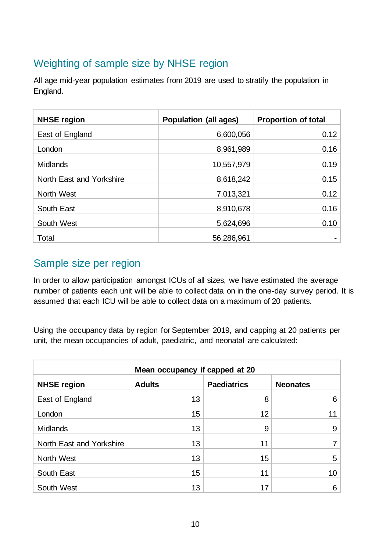### <span id="page-9-0"></span>Weighting of sample size by NHSE region

All age mid-year population estimates from 2019 are used to stratify the population in England.

| <b>NHSE region</b>       | <b>Population (all ages)</b> | <b>Proportion of total</b> |
|--------------------------|------------------------------|----------------------------|
| East of England          | 6,600,056                    | 0.12                       |
| London                   | 8,961,989                    | 0.16                       |
| <b>Midlands</b>          | 10,557,979                   | 0.19                       |
| North East and Yorkshire | 8,618,242                    | 0.15                       |
| North West               | 7,013,321                    | 0.12                       |
| South East               | 8,910,678                    | 0.16                       |
| South West               | 5,624,696                    | 0.10                       |
| Total                    | 56,286,961                   |                            |

#### <span id="page-9-1"></span>Sample size per region

In order to allow participation amongst ICUs of all sizes, we have estimated the average number of patients each unit will be able to collect data on in the one-day survey period. It is assumed that each ICU will be able to collect data on a maximum of 20 patients.

Using the occupancy data by region for September 2019, and capping at 20 patients per unit, the mean occupancies of adult, paediatric, and neonatal are calculated:

|                          | Mean occupancy if capped at 20                         |    |                 |  |  |
|--------------------------|--------------------------------------------------------|----|-----------------|--|--|
| <b>NHSE region</b>       | <b>Adults</b><br><b>Paediatrics</b><br><b>Neonates</b> |    |                 |  |  |
| East of England          | 13                                                     | 8  | 6               |  |  |
| London                   | 15                                                     | 12 | 11              |  |  |
| <b>Midlands</b>          | 13                                                     | 9  | 9               |  |  |
| North East and Yorkshire | 13                                                     | 11 | 7 <sub>1</sub>  |  |  |
| North West               | 13                                                     | 15 | 5               |  |  |
| South East               | 15                                                     | 11 | 10 <sup>1</sup> |  |  |
| South West               | 13                                                     | 17 | 6               |  |  |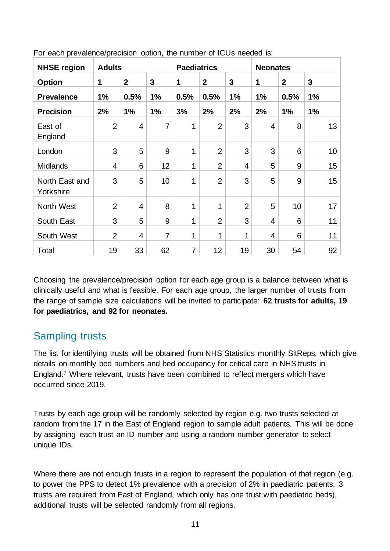| <b>NHSE region</b>          | <b>Adults</b>  |                | <b>Paediatrics</b> |                | <b>Neonates</b> |                |                |                 |                |
|-----------------------------|----------------|----------------|--------------------|----------------|-----------------|----------------|----------------|-----------------|----------------|
| <b>Option</b>               | 1              | $\overline{2}$ | 3                  | 1              | $\mathbf{2}$    | $\overline{3}$ | 1              | $\overline{2}$  | $\overline{3}$ |
| <b>Prevalence</b>           | 1%             | 0.5%           | 1%                 | 0.5%           | 0.5%            | 1%             | 1%             | 0.5%            | 1%             |
| <b>Precision</b>            | 2%             | 1%             | 1%                 | 3%             | 2%              | 2%             | 2%             | 1%              | 1%             |
| East of<br>England          | $\overline{2}$ | 4              | 7                  | 1              | $\overline{2}$  | 3              | $\overline{4}$ | 8               | 13             |
| London                      | 3              | 5              | 9                  | 1              | $\overline{2}$  | 3              | 3              | 6               | 10             |
| <b>Midlands</b>             | $\overline{4}$ | 6              | 12                 | 1              | $\overline{2}$  | 4              | 5              | 9               | 15             |
| North East and<br>Yorkshire | 3              | 5              | 10                 | 1              | $\overline{2}$  | 3              | 5              | 9               | 15             |
| North West                  | $\overline{2}$ | $\overline{4}$ | 8                  | $\mathbf{1}$   | 1               | $\overline{2}$ | 5              | 10 <sup>1</sup> | 17             |
| South East                  | 3              | 5              | 9                  | 1              | $\overline{2}$  | 3              | 4              | 6               | 11             |
| South West                  | $\overline{2}$ | $\overline{4}$ | $\overline{7}$     | 1              | 1               | 1              | 4              | 6               | 11             |
| Total                       | 19             | 33             | 62                 | $\overline{7}$ | 12              | 19             | 30             | 54              | 92             |

For each prevalence/precision option, the number of ICUs needed is:

Choosing the prevalence/precision option for each age group is a balance between what is clinically useful and what is feasible. For each age group, the larger number of trusts from the range of sample size calculations will be invited to participate: **62 trusts for adults, 19 for paediatrics, and 92 for neonates.**

#### <span id="page-10-0"></span>Sampling trusts

The list for identifying trusts will be obtained from NHS Statistics monthly SitReps, which give details on monthly bed numbers and bed occupancy for critical care in NHS trusts in England.7 Where relevant, trusts have been combined to reflect mergers which have occurred since 2019.

Trusts by each age group will be randomly selected by region e.g. two trusts selected at random from the 17 in the East of England region to sample adult patients. This will be done by assigning each trust an ID number and using a random number generator to select unique IDs.

Where there are not enough trusts in a region to represent the population of that region (e.g. to power the PPS to detect 1% prevalence with a precision of 2% in paediatric patients, 3 trusts are required from East of England, which only has one trust with paediatric beds), additional trusts will be selected randomly from all regions.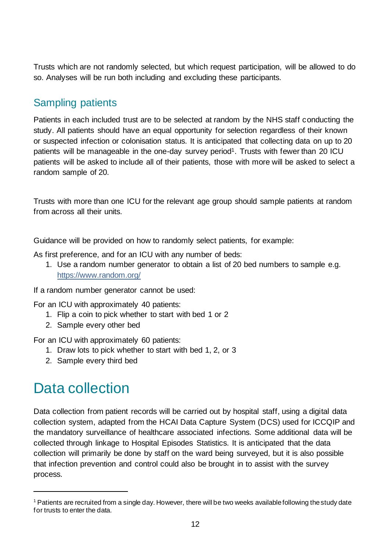Trusts which are not randomly selected, but which request participation, will be allowed to do so. Analyses will be run both including and excluding these participants.

#### <span id="page-11-0"></span>Sampling patients

Patients in each included trust are to be selected at random by the NHS staff conducting the study. All patients should have an equal opportunity for selection regardless of their known or suspected infection or colonisation status. It is anticipated that collecting data on up to 20 patients will be manageable in the one-day survey period<sup>1</sup>. Trusts with fewer than 20 ICU patients will be asked to include all of their patients, those with more will be asked to select a random sample of 20.

Trusts with more than one ICU for the relevant age group should sample patients at random from across all their units.

Guidance will be provided on how to randomly select patients, for example:

As first preference, and for an ICU with any number of beds:

1. Use a random number generator to obtain a list of 20 bed numbers to sample e.g. <https://www.random.org/>

If a random number generator cannot be used:

For an ICU with approximately 40 patients:

- 1. Flip a coin to pick whether to start with bed 1 or 2
- 2. Sample every other bed

For an ICU with approximately 60 patients:

- 1. Draw lots to pick whether to start with bed 1, 2, or 3
- 2. Sample every third bed

### <span id="page-11-1"></span>Data collection

Data collection from patient records will be carried out by hospital staff, using a digital data collection system, adapted from the HCAI Data Capture System (DCS) used for ICCQIP and the mandatory surveillance of healthcare associated infections. Some additional data will be collected through linkage to Hospital Episodes Statistics. It is anticipated that the data collection will primarily be done by staff on the ward being surveyed, but it is also possible that infection prevention and control could also be brought in to assist with the survey process.

 $1$  Patients are recruited from a single day. However, there will be two weeks available following the study date for trusts to enter the data.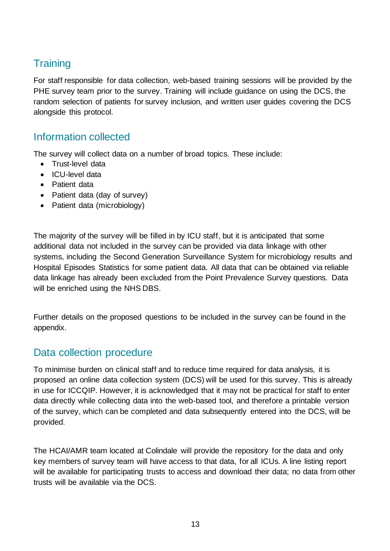### <span id="page-12-0"></span>**Training**

For staff responsible for data collection, web-based training sessions will be provided by the PHE survey team prior to the survey. Training will include guidance on using the DCS, the random selection of patients for survey inclusion, and written user guides covering the DCS alongside this protocol.

#### <span id="page-12-1"></span>Information collected

The survey will collect data on a number of broad topics. These include:

- Trust-level data
- ICU-level data
- Patient data
- Patient data (day of survey)
- Patient data (microbiology)

The majority of the survey will be filled in by ICU staff, but it is anticipated that some additional data not included in the survey can be provided via data linkage with other systems, including the Second Generation Surveillance System for microbiology results and Hospital Episodes Statistics for some patient data. All data that can be obtained via reliable data linkage has already been excluded from the Point Prevalence Survey questions. Data will be enriched using the NHS DBS.

Further details on the proposed questions to be included in the survey can be found in the appendix.

#### <span id="page-12-2"></span>Data collection procedure

To minimise burden on clinical staff and to reduce time required for data analysis, it is proposed an online data collection system (DCS) will be used for this survey. This is already in use for ICCQIP. However, it is acknowledged that it may not be practical for staff to enter data directly while collecting data into the web-based tool, and therefore a printable version of the survey, which can be completed and data subsequently entered into the DCS, will be provided.

The HCAI/AMR team located at Colindale will provide the repository for the data and only key members of survey team will have access to that data, for all ICUs. A line listing report will be available for participating trusts to access and download their data; no data from other trusts will be available via the DCS.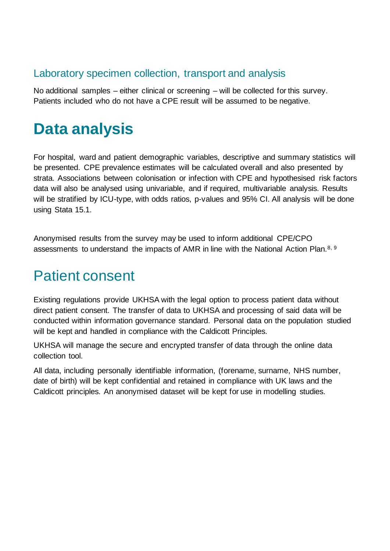#### <span id="page-13-0"></span>Laboratory specimen collection, transport and analysis

No additional samples – either clinical or screening – will be collected for this survey. Patients included who do not have a CPE result will be assumed to be negative.

## <span id="page-13-1"></span>**Data analysis**

For hospital, ward and patient demographic variables, descriptive and summary statistics will be presented. CPE prevalence estimates will be calculated overall and also presented by strata. Associations between colonisation or infection with CPE and hypothesised risk factors data will also be analysed using univariable, and if required, multivariable analysis. Results will be stratified by ICU-type, with odds ratios, p-values and 95% CI. All analysis will be done using Stata 15.1.

Anonymised results from the survey may be used to inform additional CPE/CPO assessments to understand the impacts of AMR in line with the National Action Plan.<sup>8, 9</sup>

### <span id="page-13-2"></span>Patient consent

Existing regulations provide UKHSA with the legal option to process patient data without direct patient consent. The transfer of data to UKHSA and processing of said data will be conducted within information governance standard. Personal data on the population studied will be kept and handled in compliance with the Caldicott Principles.

UKHSA will manage the secure and encrypted transfer of data through the online data collection tool.

All data, including personally identifiable information, (forename, surname, NHS number, date of birth) will be kept confidential and retained in compliance with UK laws and the Caldicott principles. An anonymised dataset will be kept for use in modelling studies.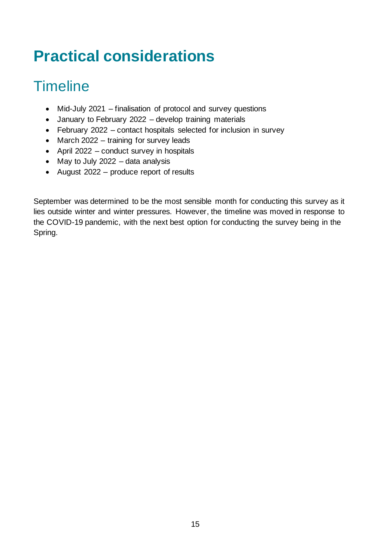# <span id="page-14-0"></span>**Practical considerations**

## <span id="page-14-1"></span>**Timeline**

- Mid-July 2021 finalisation of protocol and survey questions
- January to February 2022 develop training materials
- February 2022 contact hospitals selected for inclusion in survey
- March 2022 training for survey leads
- April 2022 conduct survey in hospitals
- May to July 2022 data analysis
- August 2022 produce report of results

September was determined to be the most sensible month for conducting this survey as it lies outside winter and winter pressures. However, the timeline was moved in response to the COVID-19 pandemic, with the next best option for conducting the survey being in the Spring.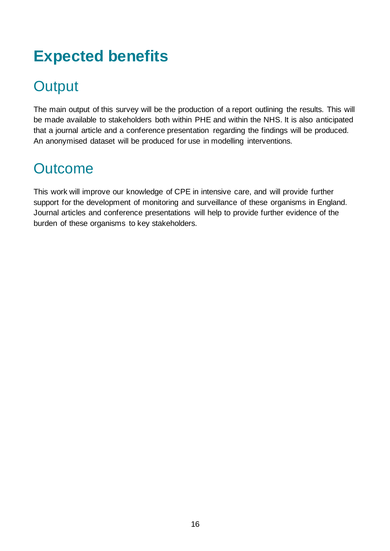# <span id="page-15-0"></span>**Expected benefits**

### <span id="page-15-1"></span>**Output**

The main output of this survey will be the production of a report outlining the results. This will be made available to stakeholders both within PHE and within the NHS. It is also anticipated that a journal article and a conference presentation regarding the findings will be produced. An anonymised dataset will be produced for use in modelling interventions.

### <span id="page-15-2"></span>**Outcome**

This work will improve our knowledge of CPE in intensive care, and will provide further support for the development of monitoring and surveillance of these organisms in England. Journal articles and conference presentations will help to provide further evidence of the burden of these organisms to key stakeholders.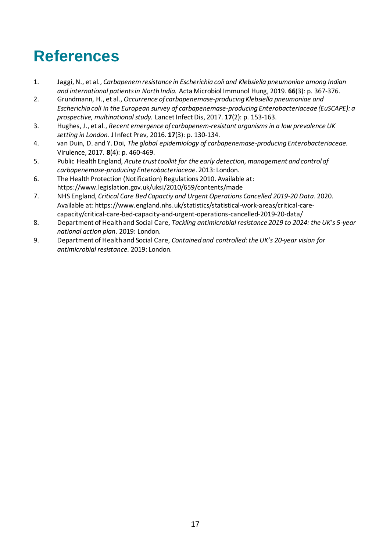# <span id="page-16-0"></span>**References**

- 1. Jaggi, N., et al., *Carbapenem resistance in Escherichia coli and Klebsiella pneumoniae among Indian and international patients in North India.* Acta Microbiol Immunol Hung, 2019. **66**(3): p. 367-376.
- 2. Grundmann, H., et al., *Occurrence of carbapenemase-producing Klebsiella pneumoniae and Escherichia coli in the European survey of carbapenemase-producing Enterobacteriaceae (EuSCAPE): a prospective, multinational study.* Lancet Infect Dis, 2017. **17**(2): p. 153-163.
- 3. Hughes, J., et al., *Recent emergence of carbapenem-resistant organisms in a low prevalence UK setting in London.* J Infect Prev, 2016. **17**(3): p. 130-134.
- 4. van Duin, D. and Y. Doi, *The global epidemiology of carbapenemase-producing Enterobacteriaceae.* Virulence, 2017. **8**(4): p. 460-469.
- 5. Public Health England, *Acute trust toolkit for the early detection, management and control of carbapenemase-producing Enterobacteriaceae*. 2013: London.
- 6. The Health Protection (Notification) Regulations 2010. Available at: https://www.legislation.gov.uk/uksi/2010/659/contents/made
- 7. NHS England, *Critical Care Bed Capactiy and Urgent Operations Cancelled 2019-20 Data*. 2020. Available at: https://www.england.nhs.uk/statistics/statistical-work-areas/critical-carecapacity/critical-care-bed-capacity-and-urgent-operations-cancelled-2019-20-data/
- 8. Department of Health and Social Care, *Tackling antimicrobial resistance 2019 to 2024: the UK's 5-year national action plan*. 2019: London.
- 9. Department of Health and Social Care, *Contained and controlled: the UK's 20-year vision for antimicrobial resistance.* 2019: London.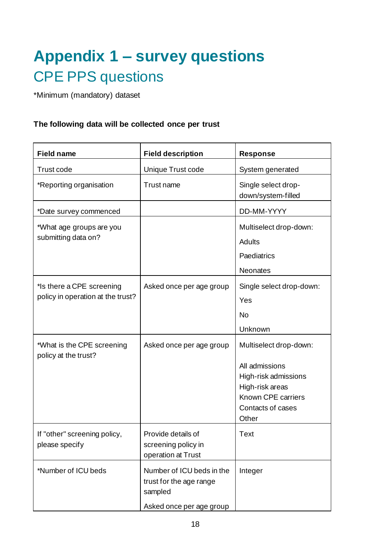# **Appendix 1 – survey questions** CPE PPS questions

\*Minimum (mandatory) dataset

#### **The following data will be collected once per trust**

| <b>Field name</b>                                              | <b>Field description</b>                                                                    | Response                                                                                                                                |
|----------------------------------------------------------------|---------------------------------------------------------------------------------------------|-----------------------------------------------------------------------------------------------------------------------------------------|
| Trust code                                                     | Unique Trust code                                                                           | System generated                                                                                                                        |
| *Reporting organisation                                        | Trust name                                                                                  | Single select drop-<br>down/system-filled                                                                                               |
| *Date survey commenced                                         |                                                                                             | DD-MM-YYYY                                                                                                                              |
| *What age groups are you<br>submitting data on?                |                                                                                             | Multiselect drop-down:<br><b>Adults</b><br>Paediatrics<br>Neonates                                                                      |
| *Is there a CPE screening<br>policy in operation at the trust? | Asked once per age group                                                                    | Single select drop-down:<br>Yes<br><b>No</b><br>Unknown                                                                                 |
| *What is the CPE screening<br>policy at the trust?             | Asked once per age group                                                                    | Multiselect drop-down:<br>All admissions<br>High-risk admissions<br>High-risk areas<br>Known CPE carriers<br>Contacts of cases<br>Other |
| If "other" screening policy,<br>please specify                 | Provide details of<br>screening policy in<br>operation at Trust                             | Text                                                                                                                                    |
| *Number of ICU beds                                            | Number of ICU beds in the<br>trust for the age range<br>sampled<br>Asked once per age group | Integer                                                                                                                                 |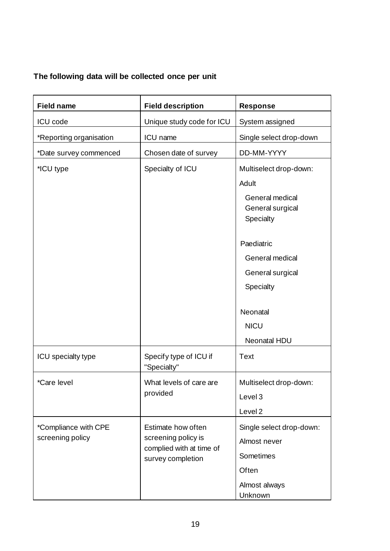#### **The following data will be collected once per unit**

| <b>Field name</b>       | <b>Field description</b>                      | <b>Response</b>                                         |
|-------------------------|-----------------------------------------------|---------------------------------------------------------|
| <b>ICU</b> code         | Unique study code for ICU                     | System assigned                                         |
| *Reporting organisation | ICU name                                      | Single select drop-down                                 |
| *Date survey commenced  | Chosen date of survey                         | DD-MM-YYYY                                              |
| *ICU type               | Specialty of ICU                              | Multiselect drop-down:                                  |
|                         |                                               | Adult                                                   |
|                         |                                               | General medical<br>General surgical<br>Specialty        |
|                         |                                               | Paediatric                                              |
|                         |                                               | General medical                                         |
|                         |                                               | General surgical                                        |
|                         |                                               | Specialty                                               |
|                         |                                               | Neonatal<br><b>NICU</b><br>Neonatal HDU                 |
| ICU specialty type      | Specify type of ICU if<br>"Specialty"         | <b>Text</b>                                             |
| *Care level             | What levels of care are<br>provided           | Multiselect drop-down:<br>Level 3<br>Level <sub>2</sub> |
| *Compliance with CPE    | Estimate how often                            | Single select drop-down:                                |
| screening policy        | screening policy is                           | Almost never                                            |
|                         | complied with at time of<br>survey completion | Sometimes                                               |
|                         |                                               | Often                                                   |
|                         |                                               | Almost always<br>Unknown                                |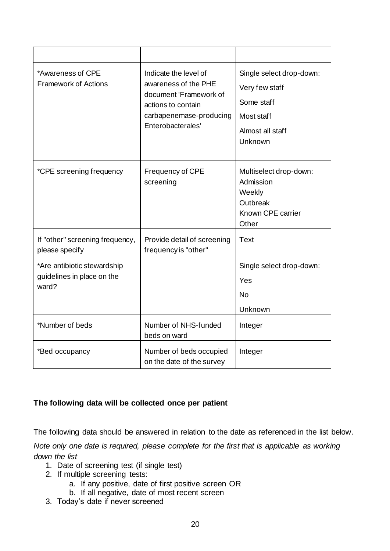| *Awareness of CPE<br><b>Framework of Actions</b>                   | Indicate the level of<br>awareness of the PHE<br>document 'Framework of<br>actions to contain<br>carbapenemase-producing<br>Enterobacterales' | Single select drop-down:<br>Very few staff<br>Some staff<br>Most staff<br>Almost all staff<br>Unknown |
|--------------------------------------------------------------------|-----------------------------------------------------------------------------------------------------------------------------------------------|-------------------------------------------------------------------------------------------------------|
| *CPE screening frequency                                           | Frequency of CPE<br>screening                                                                                                                 | Multiselect drop-down:<br>Admission<br>Weekly<br>Outbreak<br>Known CPE carrier<br>Other               |
| If "other" screening frequency,<br>please specify                  | Provide detail of screening<br>frequency is "other"                                                                                           | <b>Text</b>                                                                                           |
| *Are antibiotic stewardship<br>guidelines in place on the<br>ward? |                                                                                                                                               | Single select drop-down:<br>Yes<br><b>No</b><br>Unknown                                               |
| *Number of beds                                                    | Number of NHS-funded<br>beds on ward                                                                                                          | Integer                                                                                               |
| *Bed occupancy                                                     | Number of beds occupied<br>on the date of the survey                                                                                          | Integer                                                                                               |

#### **The following data will be collected once per patient**

The following data should be answered in relation to the date as referenced in the list below.

*Note only one date is required, please complete for the first that is applicable as working down the list* 

- 1. Date of screening test (if single test)
- 2. If multiple screening tests:
	- a. If any positive, date of first positive screen OR
	- b. If all negative, date of most recent screen
- 3. Today's date if never screened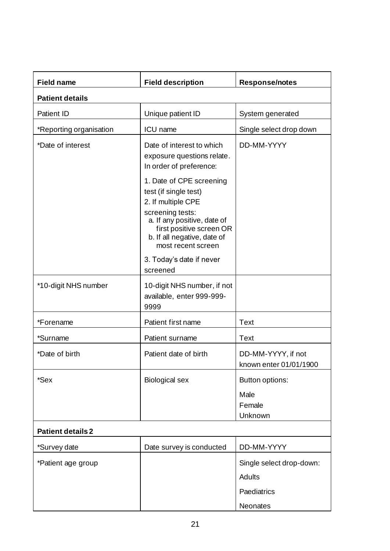| <b>Field name</b>        | <b>Field description</b>                                                                                                                                                                                    | <b>Response/notes</b>                             |
|--------------------------|-------------------------------------------------------------------------------------------------------------------------------------------------------------------------------------------------------------|---------------------------------------------------|
| <b>Patient details</b>   |                                                                                                                                                                                                             |                                                   |
| <b>Patient ID</b>        | Unique patient ID                                                                                                                                                                                           | System generated                                  |
| *Reporting organisation  | ICU name                                                                                                                                                                                                    | Single select drop down                           |
| *Date of interest        | Date of interest to which<br>exposure questions relate.<br>In order of preference:                                                                                                                          | DD-MM-YYYY                                        |
|                          | 1. Date of CPE screening<br>test (if single test)<br>2. If multiple CPE<br>screening tests:<br>a. If any positive, date of<br>first positive screen OR<br>b. If all negative, date of<br>most recent screen |                                                   |
|                          | 3. Today's date if never<br>screened                                                                                                                                                                        |                                                   |
| *10-digit NHS number     | 10-digit NHS number, if not<br>available, enter 999-999-<br>9999                                                                                                                                            |                                                   |
| *Forename                | Patient first name                                                                                                                                                                                          | <b>Text</b>                                       |
| *Surname                 | Patient surname                                                                                                                                                                                             | <b>Text</b>                                       |
| *Date of birth           | Patient date of birth                                                                                                                                                                                       | DD-MM-YYYY, if not<br>known enter 01/01/1900      |
| *Sex                     | <b>Biological sex</b>                                                                                                                                                                                       | Button options:<br>Male<br>Female<br>Unknown      |
| <b>Patient details 2</b> |                                                                                                                                                                                                             |                                                   |
| *Survey date             | Date survey is conducted                                                                                                                                                                                    | DD-MM-YYYY                                        |
| *Patient age group       |                                                                                                                                                                                                             | Single select drop-down:<br>Adults<br>Paediatrics |
|                          |                                                                                                                                                                                                             | Neonates                                          |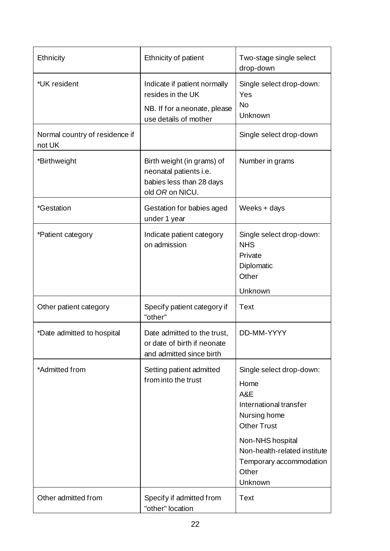| Ethnicity                                | Ethnicity of patient                                                                                       | Two-stage single select<br>drop-down                                                                                                                                                                       |
|------------------------------------------|------------------------------------------------------------------------------------------------------------|------------------------------------------------------------------------------------------------------------------------------------------------------------------------------------------------------------|
| *UK resident                             | Indicate if patient normally<br>resides in the UK<br>NB. If for a neonate, please<br>use details of mother | Single select drop-down:<br>Yes<br><b>No</b><br>Unknown                                                                                                                                                    |
| Normal country of residence if<br>not UK |                                                                                                            | Single select drop-down                                                                                                                                                                                    |
| *Birthweight                             | Birth weight (in grams) of<br>neonatal patients i.e.<br>babies less than 28 days<br>old OR on NICU.        | Number in grams                                                                                                                                                                                            |
| <i>*Gestation</i>                        | Gestation for babies aged<br>under 1 year                                                                  | Weeks + days                                                                                                                                                                                               |
| *Patient category                        | Indicate patient category<br>on admission                                                                  | Single select drop-down:<br><b>NHS</b><br>Private<br>Diplomatic<br>Other                                                                                                                                   |
|                                          |                                                                                                            | Unknown                                                                                                                                                                                                    |
| Other patient category                   | Specify patient category if<br>"other"                                                                     | <b>Text</b>                                                                                                                                                                                                |
| *Date admitted to hospital               | Date admitted to the trust,<br>or date of birth if neonate<br>and admitted since birth                     | DD-MM-YYYY                                                                                                                                                                                                 |
| *Admitted from                           | Setting patient admitted<br>from into the trust                                                            | Single select drop-down:<br>Home<br>A&E<br>International transfer<br>Nursing home<br><b>Other Trust</b><br>Non-NHS hospital<br>Non-health-related institute<br>Temporary accommodation<br>Other<br>Unknown |
| Other admitted from                      | Specify if admitted from<br>"other" location                                                               | <b>Text</b>                                                                                                                                                                                                |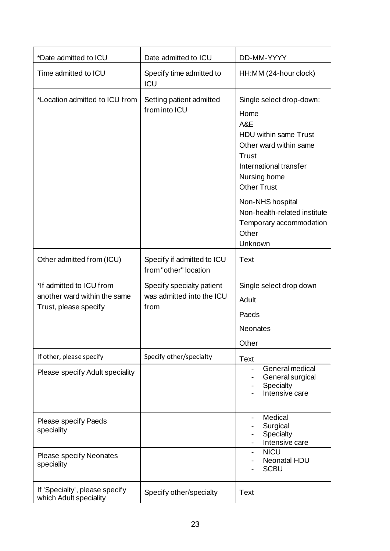| *Date admitted to ICU                                                             | Date admitted to ICU                                           | DD-MM-YYYY                                                                                                                                                                 |
|-----------------------------------------------------------------------------------|----------------------------------------------------------------|----------------------------------------------------------------------------------------------------------------------------------------------------------------------------|
| Time admitted to ICU                                                              | Specify time admitted to<br><b>ICU</b>                         | HH:MM (24-hour clock)                                                                                                                                                      |
| *Location admitted to ICU from                                                    | Setting patient admitted<br>from into ICU                      | Single select drop-down:<br>Home<br>A&E<br>HDU within same Trust<br>Other ward within same<br><b>Trust</b><br>International transfer<br>Nursing home<br><b>Other Trust</b> |
|                                                                                   |                                                                | Non-NHS hospital<br>Non-health-related institute<br>Temporary accommodation<br>Other<br>Unknown                                                                            |
| Other admitted from (ICU)                                                         | Specify if admitted to ICU<br>from "other" location            | <b>Text</b>                                                                                                                                                                |
| *If admitted to ICU from<br>another ward within the same<br>Trust, please specify | Specify specialty patient<br>was admitted into the ICU<br>from | Single select drop down<br>Adult<br>Paeds<br><b>Neonates</b><br>Other                                                                                                      |
| If other, please specify                                                          | Specify other/specialty                                        | <b>Text</b>                                                                                                                                                                |
| Please specify Adult speciality                                                   |                                                                | General medical<br>General surgical<br>Specialty<br>Intensive care                                                                                                         |
| Please specify Paeds<br>speciality                                                |                                                                | Medical<br>$\overline{\phantom{0}}$<br>Surgical<br>Specialty<br>Intensive care                                                                                             |
| <b>Please specify Neonates</b><br>speciality                                      |                                                                | <b>NICU</b><br>$\blacksquare$<br><b>Neonatal HDU</b><br><b>SCBU</b>                                                                                                        |
| If 'Specialty', please specify<br>which Adult speciality                          | Specify other/specialty                                        | <b>Text</b>                                                                                                                                                                |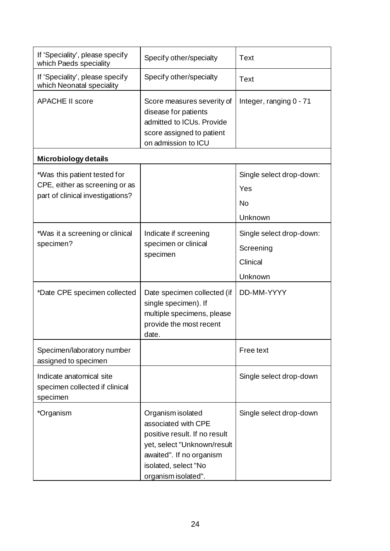| If 'Speciality', please specify<br>which Paeds speciality                                          | Specify other/specialty                                                                                                                                                             | <b>Text</b>                                                  |
|----------------------------------------------------------------------------------------------------|-------------------------------------------------------------------------------------------------------------------------------------------------------------------------------------|--------------------------------------------------------------|
| If 'Speciality', please specify<br>which Neonatal speciality                                       | Specify other/specialty                                                                                                                                                             | <b>Text</b>                                                  |
| <b>APACHE II score</b>                                                                             | Score measures severity of<br>disease for patients<br>admitted to ICUs. Provide<br>score assigned to patient<br>on admission to ICU                                                 | Integer, ranging 0 - 71                                      |
| <b>Microbiology details</b>                                                                        |                                                                                                                                                                                     |                                                              |
| *Was this patient tested for<br>CPE, either as screening or as<br>part of clinical investigations? |                                                                                                                                                                                     | Single select drop-down:<br>Yes<br>No<br>Unknown             |
| *Was it a screening or clinical<br>specimen?                                                       | Indicate if screening<br>specimen or clinical<br>specimen                                                                                                                           | Single select drop-down:<br>Screening<br>Clinical<br>Unknown |
| *Date CPE specimen collected                                                                       | Date specimen collected (if<br>single specimen). If<br>multiple specimens, please<br>provide the most recent<br>date.                                                               | DD-MM-YYYY                                                   |
| Specimen/laboratory number<br>assigned to specimen                                                 |                                                                                                                                                                                     | Free text                                                    |
| Indicate anatomical site<br>specimen collected if clinical<br>specimen                             |                                                                                                                                                                                     | Single select drop-down                                      |
| *Organism                                                                                          | Organism isolated<br>associated with CPE<br>positive result. If no result<br>yet, select "Unknown/result<br>awaited". If no organism<br>isolated, select "No<br>organism isolated". | Single select drop-down                                      |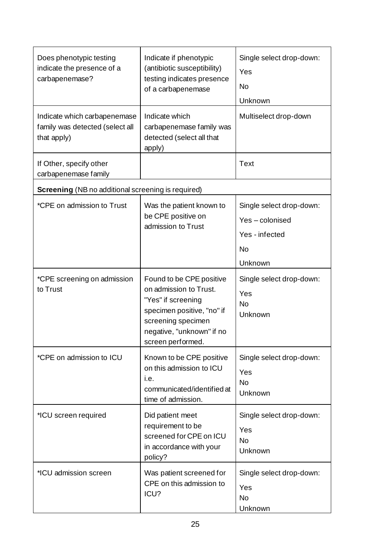| Does phenotypic testing<br>indicate the presence of a<br>carbapenemase?        | Indicate if phenotypic<br>(antibiotic susceptibility)<br>testing indicates presence<br>of a carbapenemase                                                                      | Single select drop-down:<br>Yes<br>No<br>Unknown                                    |
|--------------------------------------------------------------------------------|--------------------------------------------------------------------------------------------------------------------------------------------------------------------------------|-------------------------------------------------------------------------------------|
| Indicate which carbapenemase<br>family was detected (select all<br>that apply) | Indicate which<br>carbapenemase family was<br>detected (select all that<br>apply)                                                                                              | Multiselect drop-down                                                               |
| If Other, specify other<br>carbapenemase family                                |                                                                                                                                                                                | <b>Text</b>                                                                         |
| <b>Screening</b> (NB no additional screening is required)                      |                                                                                                                                                                                |                                                                                     |
| *CPE on admission to Trust                                                     | Was the patient known to<br>be CPE positive on<br>admission to Trust                                                                                                           | Single select drop-down:<br>Yes-colonised<br>Yes - infected<br><b>No</b><br>Unknown |
| *CPE screening on admission<br>to Trust                                        | Found to be CPE positive<br>on admission to Trust.<br>"Yes" if screening<br>specimen positive, "no" if<br>screening specimen<br>negative, "unknown" if no<br>screen performed. | Single select drop-down:<br>Yes<br>No<br>Unknown                                    |
| *CPE on admission to ICU                                                       | Known to be CPE positive<br>on this admission to ICU<br>i.e.<br>communicated/identified at<br>time of admission.                                                               | Single select drop-down:<br>Yes<br><b>No</b><br>Unknown                             |
| *ICU screen required                                                           | Did patient meet<br>requirement to be<br>screened for CPE on ICU<br>in accordance with your<br>policy?                                                                         | Single select drop-down:<br>Yes<br><b>No</b><br>Unknown                             |
| *ICU admission screen                                                          | Was patient screened for<br>CPE on this admission to<br>ICU?                                                                                                                   | Single select drop-down:<br>Yes<br>No<br>Unknown                                    |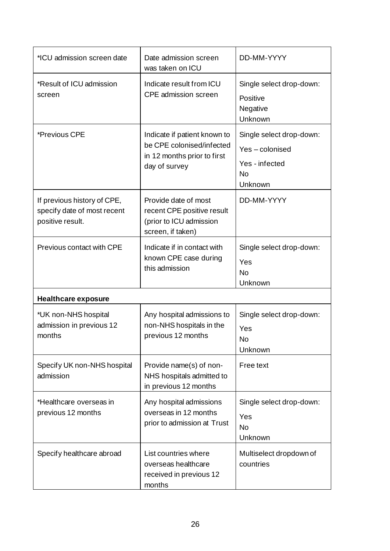| *ICU admission screen date                                                     | Date admission screen<br>was taken on ICU                                                                 | DD-MM-YYYY                                                                          |
|--------------------------------------------------------------------------------|-----------------------------------------------------------------------------------------------------------|-------------------------------------------------------------------------------------|
| *Result of ICU admission<br>screen                                             | Indicate result from ICU<br>CPE admission screen                                                          | Single select drop-down:<br>Positive<br>Negative<br>Unknown                         |
| *Previous CPE                                                                  | Indicate if patient known to<br>be CPE colonised/infected<br>in 12 months prior to first<br>day of survey | Single select drop-down:<br>Yes-colonised<br>Yes - infected<br><b>No</b><br>Unknown |
| If previous history of CPE,<br>specify date of most recent<br>positive result. | Provide date of most<br>recent CPE positive result<br>(prior to ICU admission<br>screen, if taken)        | DD-MM-YYYY                                                                          |
| Previous contact with CPE                                                      | Indicate if in contact with<br>known CPE case during<br>this admission                                    | Single select drop-down:<br>Yes<br><b>No</b><br>Unknown                             |
| <b>Healthcare exposure</b>                                                     |                                                                                                           |                                                                                     |
| *UK non-NHS hospital<br>admission in previous 12<br>months                     | Any hospital admissions to<br>non-NHS hospitals in the<br>previous 12 months                              | Single select drop-down:<br>Yes<br><b>No</b><br>Unknown                             |
| Specify UK non-NHS hospital<br>admission                                       | Provide name(s) of non-<br>NHS hospitals admitted to<br>in previous 12 months                             | Free text                                                                           |
| *Healthcare overseas in<br>previous 12 months                                  | Any hospital admissions<br>overseas in 12 months<br>prior to admission at Trust                           | Single select drop-down:<br>Yes<br><b>No</b><br>Unknown                             |
| Specify healthcare abroad                                                      | List countries where<br>overseas healthcare<br>received in previous 12<br>months                          | Multiselect dropdown of<br>countries                                                |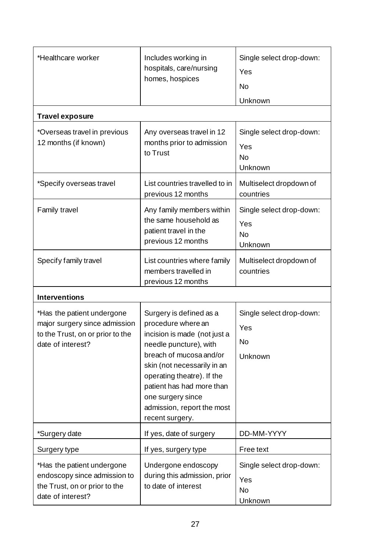| *Healthcare worker                                                                                                   | Includes working in<br>hospitals, care/nursing<br>homes, hospices                                                                                                                                                                                                                                  | Single select drop-down:<br>Yes<br><b>No</b><br>Unknown |
|----------------------------------------------------------------------------------------------------------------------|----------------------------------------------------------------------------------------------------------------------------------------------------------------------------------------------------------------------------------------------------------------------------------------------------|---------------------------------------------------------|
| <b>Travel exposure</b><br>*Overseas travel in previous<br>12 months (if known)                                       | Any overseas travel in 12<br>months prior to admission<br>to Trust                                                                                                                                                                                                                                 | Single select drop-down:<br>Yes<br><b>No</b><br>Unknown |
| *Specify overseas travel                                                                                             | List countries travelled to in<br>previous 12 months                                                                                                                                                                                                                                               | Multiselect dropdown of<br>countries                    |
| Family travel                                                                                                        | Any family members within<br>the same household as<br>patient travel in the<br>previous 12 months                                                                                                                                                                                                  | Single select drop-down:<br>Yes<br><b>No</b><br>Unknown |
| Specify family travel                                                                                                | List countries where family<br>members travelled in<br>previous 12 months                                                                                                                                                                                                                          | Multiselect dropdown of<br>countries                    |
| <b>Interventions</b>                                                                                                 |                                                                                                                                                                                                                                                                                                    |                                                         |
| *Has the patient undergone<br>major surgery since admission<br>to the Trust, on or prior to the<br>date of interest? | Surgery is defined as a<br>procedure where an<br>incision is made (not just a<br>needle puncture), with<br>breach of mucosa and/or<br>skin (not necessarily in an<br>operating theatre). If the<br>patient has had more than<br>one surgery since<br>admission, report the most<br>recent surgery. | Single select drop-down:<br>Yes<br>No<br>Unknown        |
| *Surgery date                                                                                                        | If yes, date of surgery                                                                                                                                                                                                                                                                            | DD-MM-YYYY                                              |
| Surgery type                                                                                                         | If yes, surgery type                                                                                                                                                                                                                                                                               | Free text                                               |
| *Has the patient undergone<br>endoscopy since admission to<br>the Trust, on or prior to the<br>date of interest?     | Undergone endoscopy<br>during this admission, prior<br>to date of interest                                                                                                                                                                                                                         | Single select drop-down:<br>Yes<br><b>No</b><br>Unknown |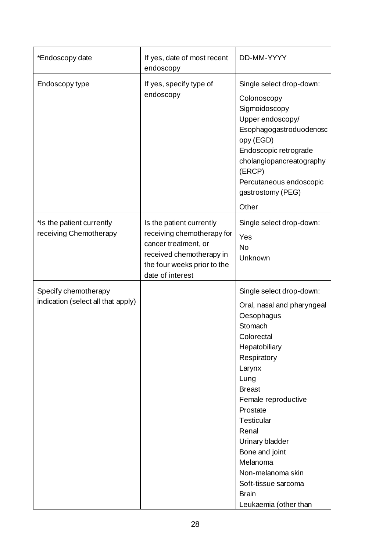| *Endoscopy date                                            | If yes, date of most recent<br>endoscopy                                                                                                                      | DD-MM-YYYY                                                                                                                                                                                                                                                                                                                                                              |
|------------------------------------------------------------|---------------------------------------------------------------------------------------------------------------------------------------------------------------|-------------------------------------------------------------------------------------------------------------------------------------------------------------------------------------------------------------------------------------------------------------------------------------------------------------------------------------------------------------------------|
| Endoscopy type                                             | If yes, specify type of<br>endoscopy                                                                                                                          | Single select drop-down:<br>Colonoscopy<br>Sigmoidoscopy<br>Upper endoscopy/<br>Esophagogastroduodenosc<br>opy (EGD)<br>Endoscopic retrograde<br>cholangiopancreatography<br>(ERCP)<br>Percutaneous endoscopic<br>gastrostomy (PEG)<br>Other                                                                                                                            |
| *Is the patient currently<br>receiving Chemotherapy        | Is the patient currently<br>receiving chemotherapy for<br>cancer treatment, or<br>received chemotherapy in<br>the four weeks prior to the<br>date of interest | Single select drop-down:<br>Yes<br><b>No</b><br>Unknown                                                                                                                                                                                                                                                                                                                 |
| Specify chemotherapy<br>indication (select all that apply) |                                                                                                                                                               | Single select drop-down:<br>Oral, nasal and pharyngeal<br>Oesophagus<br>Stomach<br>Colorectal<br>Hepatobiliary<br>Respiratory<br>Larynx<br>Lung<br><b>Breast</b><br>Female reproductive<br>Prostate<br><b>Testicular</b><br>Renal<br>Urinary bladder<br>Bone and joint<br>Melanoma<br>Non-melanoma skin<br>Soft-tissue sarcoma<br><b>Brain</b><br>Leukaemia (other than |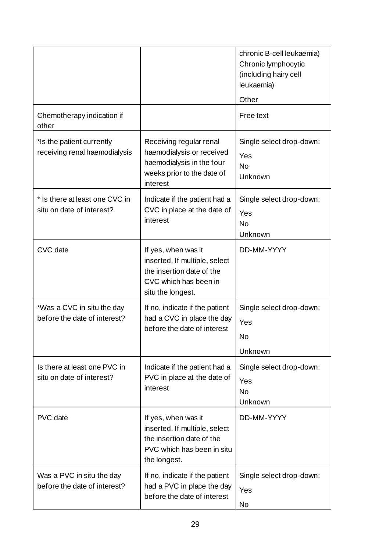|                                                             |                                                                                                                                 | chronic B-cell leukaemia)<br>Chronic lymphocytic<br>(including hairy cell<br>leukaemia)<br>Other |
|-------------------------------------------------------------|---------------------------------------------------------------------------------------------------------------------------------|--------------------------------------------------------------------------------------------------|
| Chemotherapy indication if<br>other                         |                                                                                                                                 | Free text                                                                                        |
| *Is the patient currently<br>receiving renal haemodialysis  | Receiving regular renal<br>haemodialysis or received<br>haemodialysis in the four<br>weeks prior to the date of<br>interest     | Single select drop-down:<br>Yes<br><b>No</b><br>Unknown                                          |
| * Is there at least one CVC in<br>situ on date of interest? | Indicate if the patient had a<br>CVC in place at the date of<br>interest                                                        | Single select drop-down:<br>Yes<br><b>No</b><br>Unknown                                          |
| CVC date                                                    | If yes, when was it<br>inserted. If multiple, select<br>the insertion date of the<br>CVC which has been in<br>situ the longest. | DD-MM-YYYY                                                                                       |
| *Was a CVC in situ the day<br>before the date of interest?  | If no, indicate if the patient<br>had a CVC in place the day<br>before the date of interest                                     | Single select drop-down:<br>Yes<br>No<br>Unknown                                                 |
| Is there at least one PVC in<br>situ on date of interest?   | Indicate if the patient had a<br>PVC in place at the date of<br>interest                                                        | Single select drop-down:<br>Yes<br><b>No</b><br>Unknown                                          |
| PVC date                                                    | If yes, when was it<br>inserted. If multiple, select<br>the insertion date of the<br>PVC which has been in situ<br>the longest. | DD-MM-YYYY                                                                                       |
| Was a PVC in situ the day<br>before the date of interest?   | If no, indicate if the patient<br>had a PVC in place the day<br>before the date of interest                                     | Single select drop-down:<br>Yes<br>No                                                            |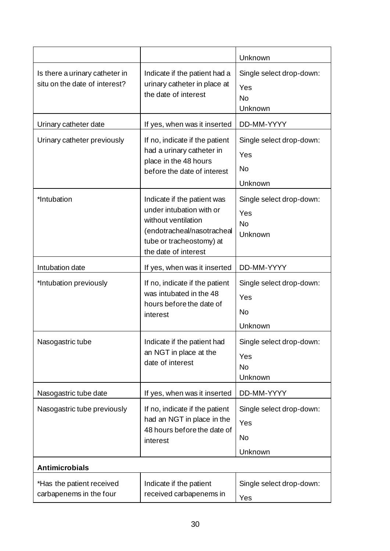|                                                                 |                                                                                                                                                                  | Unknown                                                 |
|-----------------------------------------------------------------|------------------------------------------------------------------------------------------------------------------------------------------------------------------|---------------------------------------------------------|
| Is there a urinary catheter in<br>situ on the date of interest? | Indicate if the patient had a<br>urinary catheter in place at<br>the date of interest                                                                            | Single select drop-down:<br>Yes<br><b>No</b><br>Unknown |
| Urinary catheter date                                           | If yes, when was it inserted                                                                                                                                     | DD-MM-YYYY                                              |
| Urinary catheter previously                                     | If no, indicate if the patient<br>had a urinary catheter in<br>place in the 48 hours<br>before the date of interest                                              | Single select drop-down:<br>Yes<br>No<br>Unknown        |
| *Intubation                                                     | Indicate if the patient was<br>under intubation with or<br>without ventilation<br>(endotracheal/nasotracheal<br>tube or tracheostomy) at<br>the date of interest | Single select drop-down:<br>Yes<br><b>No</b><br>Unknown |
| Intubation date                                                 | If yes, when was it inserted                                                                                                                                     | DD-MM-YYYY                                              |
| *Intubation previously                                          | If no, indicate if the patient<br>was intubated in the 48<br>hours before the date of<br>interest                                                                | Single select drop-down:<br>Yes<br>No<br>Unknown        |
| Nasogastric tube                                                | Indicate if the patient had<br>an NGT in place at the<br>date of interest                                                                                        | Single select drop-down:<br>Yes<br>No<br>Unknown        |
| Nasogastric tube date                                           | If yes, when was it inserted                                                                                                                                     | DD-MM-YYYY                                              |
| Nasogastric tube previously                                     | If no, indicate if the patient<br>had an NGT in place in the<br>48 hours before the date of<br>interest                                                          | Single select drop-down:<br>Yes<br>No<br>Unknown        |
| <b>Antimicrobials</b>                                           |                                                                                                                                                                  |                                                         |
| *Has the patient received<br>carbapenems in the four            | Indicate if the patient<br>received carbapenems in                                                                                                               | Single select drop-down:<br>Yes                         |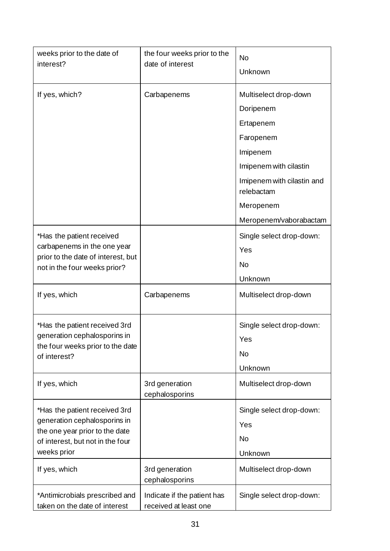| weeks prior to the date of<br>interest?                                                                                                            | the four weeks prior to the<br>date of interest      | No<br>Unknown                                                                                                                                                                         |
|----------------------------------------------------------------------------------------------------------------------------------------------------|------------------------------------------------------|---------------------------------------------------------------------------------------------------------------------------------------------------------------------------------------|
| If yes, which?                                                                                                                                     | Carbapenems                                          | Multiselect drop-down<br>Doripenem<br>Ertapenem<br>Faropenem<br>Imipenem<br>Imipenem with cilastin<br>Imipenem with cilastin and<br>relebactam<br>Meropenem<br>Meropenem/vaborabactam |
| *Has the patient received<br>carbapenems in the one year<br>prior to the date of interest, but<br>not in the four weeks prior?                     |                                                      | Single select drop-down:<br>Yes<br>No<br>Unknown                                                                                                                                      |
| If yes, which                                                                                                                                      | Carbapenems                                          | Multiselect drop-down                                                                                                                                                                 |
| *Has the patient received 3rd<br>generation cephalosporins in<br>the four weeks prior to the date<br>of interest?                                  |                                                      | Single select drop-down:<br>Yes<br><b>No</b><br>Unknown                                                                                                                               |
| If yes, which                                                                                                                                      | 3rd generation<br>cephalosporins                     | Multiselect drop-down                                                                                                                                                                 |
| *Has the patient received 3rd<br>generation cephalosporins in<br>the one year prior to the date<br>of interest, but not in the four<br>weeks prior |                                                      | Single select drop-down:<br>Yes<br><b>No</b><br>Unknown                                                                                                                               |
| If yes, which                                                                                                                                      | 3rd generation<br>cephalosporins                     | Multiselect drop-down                                                                                                                                                                 |
| *Antimicrobials prescribed and<br>taken on the date of interest                                                                                    | Indicate if the patient has<br>received at least one | Single select drop-down:                                                                                                                                                              |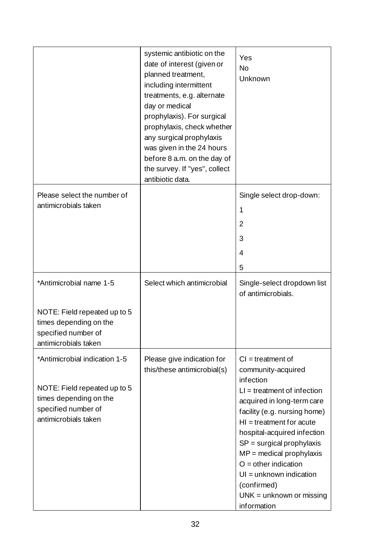|                                                                                                                                        | systemic antibiotic on the<br>date of interest (given or<br>planned treatment,<br>including intermittent<br>treatments, e.g. alternate<br>day or medical<br>prophylaxis). For surgical<br>prophylaxis, check whether<br>any surgical prophylaxis<br>was given in the 24 hours<br>before 8 a.m. on the day of<br>the survey. If "yes", collect<br>antibiotic data. | Yes<br>No<br>Unknown                                                                                                                                                                                                                                                                                                                                                                               |
|----------------------------------------------------------------------------------------------------------------------------------------|-------------------------------------------------------------------------------------------------------------------------------------------------------------------------------------------------------------------------------------------------------------------------------------------------------------------------------------------------------------------|----------------------------------------------------------------------------------------------------------------------------------------------------------------------------------------------------------------------------------------------------------------------------------------------------------------------------------------------------------------------------------------------------|
| Please select the number of<br>antimicrobials taken                                                                                    |                                                                                                                                                                                                                                                                                                                                                                   | Single select drop-down:<br>1<br>$\overline{2}$<br>3<br>4<br>5                                                                                                                                                                                                                                                                                                                                     |
| *Antimicrobial name 1-5<br>NOTE: Field repeated up to 5<br>times depending on the<br>specified number of<br>antimicrobials taken       | Select which antimicrobial                                                                                                                                                                                                                                                                                                                                        | Single-select dropdown list<br>of antimicrobials.                                                                                                                                                                                                                                                                                                                                                  |
| *Antimicrobial indication 1-5<br>NOTE: Field repeated up to 5<br>times depending on the<br>specified number of<br>antimicrobials taken | Please give indication for<br>this/these antimicrobial(s)                                                                                                                                                                                                                                                                                                         | $Cl = treatment of$<br>community-acquired<br>infection<br>$LI = treatment of infection$<br>acquired in long-term care<br>facility (e.g. nursing home)<br>$HI = treatment for acute$<br>hospital-acquired infection<br>$SP =$ surgical prophylaxis<br>$MP =$ medical prophylaxis<br>$O =$ other indication<br>$UI = unknown indication$<br>(confirmed)<br>$UNK = unknown or missing$<br>information |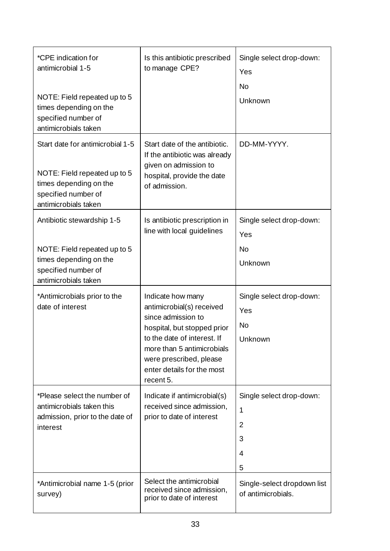| *CPE indication for<br>antimicrobial 1-5<br>NOTE: Field repeated up to 5<br>times depending on the<br>specified number of<br>antimicrobials taken | Is this antibiotic prescribed<br>to manage CPE?                                                                                                                                                                                        | Single select drop-down:<br>Yes<br>No<br>Unknown               |
|---------------------------------------------------------------------------------------------------------------------------------------------------|----------------------------------------------------------------------------------------------------------------------------------------------------------------------------------------------------------------------------------------|----------------------------------------------------------------|
| Start date for antimicrobial 1-5<br>NOTE: Field repeated up to 5<br>times depending on the<br>specified number of<br>antimicrobials taken         | Start date of the antibiotic.<br>If the antibiotic was already<br>given on admission to<br>hospital, provide the date<br>of admission.                                                                                                 | DD-MM-YYYY.                                                    |
| Antibiotic stewardship 1-5<br>NOTE: Field repeated up to 5<br>times depending on the<br>specified number of<br>antimicrobials taken               | Is antibiotic prescription in<br>line with local guidelines                                                                                                                                                                            | Single select drop-down:<br>Yes<br>No<br>Unknown               |
| *Antimicrobials prior to the<br>date of interest                                                                                                  | Indicate how many<br>antimicrobial(s) received<br>since admission to<br>hospital, but stopped prior<br>to the date of interest. If<br>more than 5 antimicrobials<br>were prescribed, please<br>enter details for the most<br>recent 5. | Single select drop-down:<br>Yes<br>No<br>Unknown               |
| *Please select the number of<br>antimicrobials taken this<br>admission, prior to the date of<br>interest                                          | Indicate if antimicrobial(s)<br>received since admission,<br>prior to date of interest                                                                                                                                                 | Single select drop-down:<br>1<br>$\overline{2}$<br>3<br>4<br>5 |
| *Antimicrobial name 1-5 (prior<br>survey)                                                                                                         | Select the antimicrobial<br>received since admission,<br>prior to date of interest                                                                                                                                                     | Single-select dropdown list<br>of antimicrobials.              |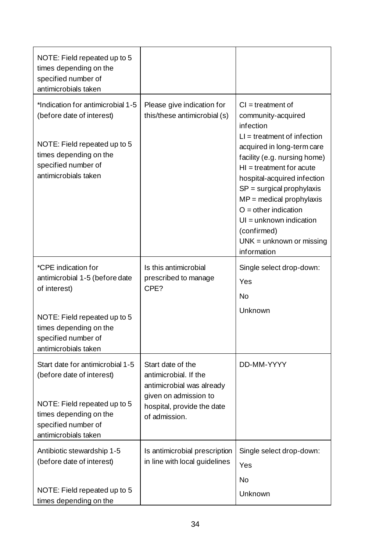| NOTE: Field repeated up to 5<br>times depending on the<br>specified number of<br>antimicrobials taken                                                                          |                                                                                                                                                 |                                                                                                                                                                                                                                                                                                                                                                                                    |
|--------------------------------------------------------------------------------------------------------------------------------------------------------------------------------|-------------------------------------------------------------------------------------------------------------------------------------------------|----------------------------------------------------------------------------------------------------------------------------------------------------------------------------------------------------------------------------------------------------------------------------------------------------------------------------------------------------------------------------------------------------|
| *Indication for antimicrobial 1-5<br>(before date of interest)<br>NOTE: Field repeated up to 5<br>times depending on the<br>specified number of<br>antimicrobials taken        | Please give indication for<br>this/these antimicrobial (s)                                                                                      | $Cl = treatment of$<br>community-acquired<br>infection<br>$LI = treatment of infection$<br>acquired in long-term care<br>facility (e.g. nursing home)<br>$HI = treatment for acute$<br>hospital-acquired infection<br>$SP =$ surgical prophylaxis<br>$MP =$ medical prophylaxis<br>$O =$ other indication<br>$UI = unknown indication$<br>(confirmed)<br>$UNK = unknown or missing$<br>information |
| *CPE indication for<br>antimicrobial 1-5 (before date<br>of interest)<br>NOTE: Field repeated up to 5<br>times depending on the<br>specified number of<br>antimicrobials taken | Is this antimicrobial<br>prescribed to manage<br>CPE?                                                                                           | Single select drop-down:<br>Yes<br>No<br>Unknown                                                                                                                                                                                                                                                                                                                                                   |
| Start date for antimicrobial 1-5<br>(before date of interest)<br>NOTE: Field repeated up to 5<br>times depending on the<br>specified number of<br>antimicrobials taken         | Start date of the<br>antimicrobial. If the<br>antimicrobial was already<br>given on admission to<br>hospital, provide the date<br>of admission. | DD-MM-YYYY                                                                                                                                                                                                                                                                                                                                                                                         |
| Antibiotic stewardship 1-5<br>(before date of interest)<br>NOTE: Field repeated up to 5<br>times depending on the                                                              | Is antimicrobial prescription<br>in line with local guidelines                                                                                  | Single select drop-down:<br>Yes<br>No<br>Unknown                                                                                                                                                                                                                                                                                                                                                   |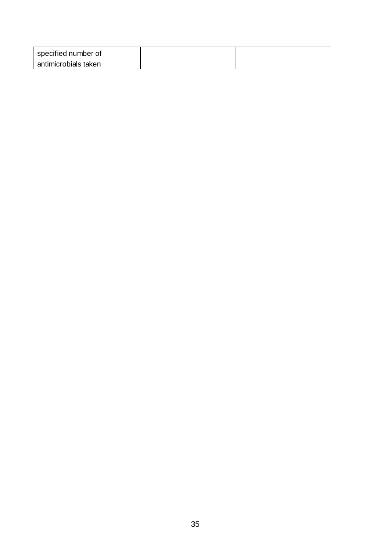| specified number of  |  |
|----------------------|--|
| antimicrobials taken |  |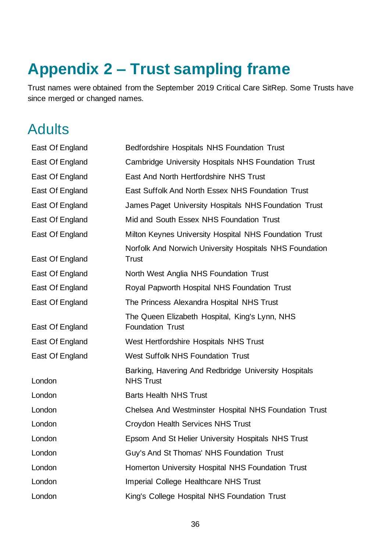# **Appendix 2 – Trust sampling frame**

Trust names were obtained from the September 2019 Critical Care SitRep. Some Trusts have since merged or changed names.

### Adults

| East Of England | Bedfordshire Hospitals NHS Foundation Trust                               |
|-----------------|---------------------------------------------------------------------------|
| East Of England | <b>Cambridge University Hospitals NHS Foundation Trust</b>                |
| East Of England | East And North Hertfordshire NHS Trust                                    |
| East Of England | East Suffolk And North Essex NHS Foundation Trust                         |
| East Of England | James Paget University Hospitals NHS Foundation Trust                     |
| East Of England | Mid and South Essex NHS Foundation Trust                                  |
| East Of England | Milton Keynes University Hospital NHS Foundation Trust                    |
| East Of England | Norfolk And Norwich University Hospitals NHS Foundation<br><b>Trust</b>   |
| East Of England | North West Anglia NHS Foundation Trust                                    |
| East Of England | Royal Papworth Hospital NHS Foundation Trust                              |
| East Of England | The Princess Alexandra Hospital NHS Trust                                 |
| East Of England | The Queen Elizabeth Hospital, King's Lynn, NHS<br><b>Foundation Trust</b> |
| East Of England | West Hertfordshire Hospitals NHS Trust                                    |
| East Of England | <b>West Suffolk NHS Foundation Trust</b>                                  |
| London          | Barking, Havering And Redbridge University Hospitals<br><b>NHS Trust</b>  |
| London          | <b>Barts Health NHS Trust</b>                                             |
| London          | Chelsea And Westminster Hospital NHS Foundation Trust                     |
| London          | Croydon Health Services NHS Trust                                         |
| London          | Epsom And St Helier University Hospitals NHS Trust                        |
| London          | Guy's And St Thomas' NHS Foundation Trust                                 |
| London          | Homerton University Hospital NHS Foundation Trust                         |
| London          | <b>Imperial College Healthcare NHS Trust</b>                              |
| London          | King's College Hospital NHS Foundation Trust                              |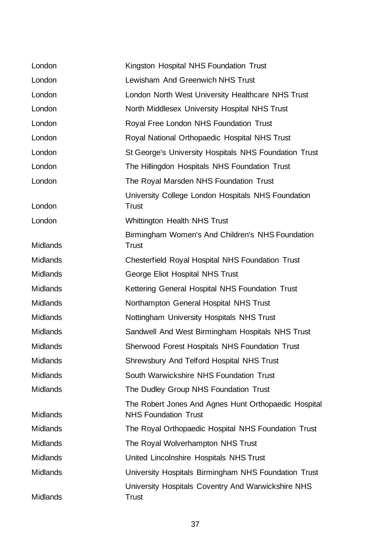| London          | Kingston Hospital NHS Foundation Trust                                              |
|-----------------|-------------------------------------------------------------------------------------|
| London          | Lewisham And Greenwich NHS Trust                                                    |
| London          | London North West University Healthcare NHS Trust                                   |
| London          | North Middlesex University Hospital NHS Trust                                       |
| London          | Royal Free London NHS Foundation Trust                                              |
| London          | Royal National Orthopaedic Hospital NHS Trust                                       |
| London          | St George's University Hospitals NHS Foundation Trust                               |
| London          | The Hillingdon Hospitals NHS Foundation Trust                                       |
| London          | The Royal Marsden NHS Foundation Trust                                              |
| London          | University College London Hospitals NHS Foundation<br>Trust                         |
| London          | <b>Whittington Health NHS Trust</b>                                                 |
| <b>Midlands</b> | Birmingham Women's And Children's NHS Foundation<br><b>Trust</b>                    |
| <b>Midlands</b> | <b>Chesterfield Royal Hospital NHS Foundation Trust</b>                             |
| <b>Midlands</b> | George Eliot Hospital NHS Trust                                                     |
| <b>Midlands</b> | Kettering General Hospital NHS Foundation Trust                                     |
| <b>Midlands</b> | Northampton General Hospital NHS Trust                                              |
| <b>Midlands</b> | Nottingham University Hospitals NHS Trust                                           |
| <b>Midlands</b> | Sandwell And West Birmingham Hospitals NHS Trust                                    |
| <b>Midlands</b> | <b>Sherwood Forest Hospitals NHS Foundation Trust</b>                               |
| Midlands        | Shrewsbury And Telford Hospital NHS Trust                                           |
| <b>Midlands</b> | South Warwickshire NHS Foundation Trust                                             |
| <b>Midlands</b> | The Dudley Group NHS Foundation Trust                                               |
| <b>Midlands</b> | The Robert Jones And Agnes Hunt Orthopaedic Hospital<br><b>NHS Foundation Trust</b> |
| <b>Midlands</b> | The Royal Orthopaedic Hospital NHS Foundation Trust                                 |
| <b>Midlands</b> | The Royal Wolverhampton NHS Trust                                                   |
| <b>Midlands</b> | United Lincolnshire Hospitals NHS Trust                                             |
| <b>Midlands</b> | University Hospitals Birmingham NHS Foundation Trust                                |
| Midlands        | University Hospitals Coventry And Warwickshire NHS<br><b>Trust</b>                  |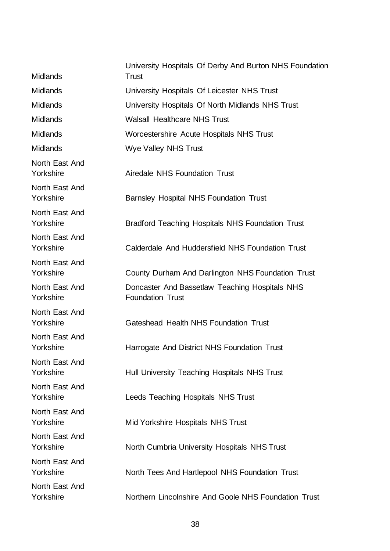| <b>Midlands</b>             | University Hospitals Of Derby And Burton NHS Foundation<br><b>Trust</b>   |
|-----------------------------|---------------------------------------------------------------------------|
| <b>Midlands</b>             | University Hospitals Of Leicester NHS Trust                               |
| <b>Midlands</b>             | University Hospitals Of North Midlands NHS Trust                          |
| <b>Midlands</b>             | <b>Walsall Healthcare NHS Trust</b>                                       |
| <b>Midlands</b>             | Worcestershire Acute Hospitals NHS Trust                                  |
| <b>Midlands</b>             | <b>Wye Valley NHS Trust</b>                                               |
| North East And<br>Yorkshire | Airedale NHS Foundation Trust                                             |
| North East And<br>Yorkshire | <b>Barnsley Hospital NHS Foundation Trust</b>                             |
| North East And<br>Yorkshire | Bradford Teaching Hospitals NHS Foundation Trust                          |
| North East And<br>Yorkshire | Calderdale And Huddersfield NHS Foundation Trust                          |
| North East And<br>Yorkshire | County Durham And Darlington NHS Foundation Trust                         |
| North East And<br>Yorkshire | Doncaster And Bassetlaw Teaching Hospitals NHS<br><b>Foundation Trust</b> |
| North East And<br>Yorkshire | Gateshead Health NHS Foundation Trust                                     |
| North East And<br>Yorkshire | Harrogate And District NHS Foundation Trust                               |
| North East And<br>Yorkshire | Hull University Teaching Hospitals NHS Trust                              |
| North East And<br>Yorkshire | Leeds Teaching Hospitals NHS Trust                                        |
| North East And<br>Yorkshire | Mid Yorkshire Hospitals NHS Trust                                         |
| North East And<br>Yorkshire | North Cumbria University Hospitals NHS Trust                              |
| North East And<br>Yorkshire | North Tees And Hartlepool NHS Foundation Trust                            |
| North East And<br>Yorkshire | Northern Lincolnshire And Goole NHS Foundation Trust                      |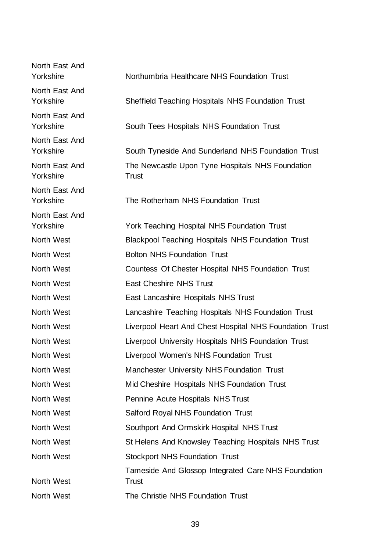| North East And<br>Yorkshire | Northumbria Healthcare NHS Foundation Trust                         |
|-----------------------------|---------------------------------------------------------------------|
| North East And<br>Yorkshire | Sheffield Teaching Hospitals NHS Foundation Trust                   |
| North East And<br>Yorkshire | South Tees Hospitals NHS Foundation Trust                           |
| North East And<br>Yorkshire | South Tyneside And Sunderland NHS Foundation Trust                  |
| North East And<br>Yorkshire | The Newcastle Upon Tyne Hospitals NHS Foundation<br><b>Trust</b>    |
| North East And<br>Yorkshire | The Rotherham NHS Foundation Trust                                  |
| North East And<br>Yorkshire | York Teaching Hospital NHS Foundation Trust                         |
| North West                  | <b>Blackpool Teaching Hospitals NHS Foundation Trust</b>            |
| North West                  | <b>Bolton NHS Foundation Trust</b>                                  |
| North West                  | Countess Of Chester Hospital NHS Foundation Trust                   |
| North West                  | <b>East Cheshire NHS Trust</b>                                      |
| North West                  | East Lancashire Hospitals NHS Trust                                 |
| North West                  | Lancashire Teaching Hospitals NHS Foundation Trust                  |
| North West                  | Liverpool Heart And Chest Hospital NHS Foundation Trust             |
| North West                  | Liverpool University Hospitals NHS Foundation Trust                 |
| North West                  | Liverpool Women's NHS Foundation Trust                              |
| North West                  | Manchester University NHS Foundation Trust                          |
| North West                  | Mid Cheshire Hospitals NHS Foundation Trust                         |
| North West                  | Pennine Acute Hospitals NHS Trust                                   |
| North West                  | <b>Salford Royal NHS Foundation Trust</b>                           |
| North West                  | Southport And Ormskirk Hospital NHS Trust                           |
| North West                  | St Helens And Knowsley Teaching Hospitals NHS Trust                 |
| North West                  | <b>Stockport NHS Foundation Trust</b>                               |
| North West                  | Tameside And Glossop Integrated Care NHS Foundation<br><b>Trust</b> |
| North West                  | The Christie NHS Foundation Trust                                   |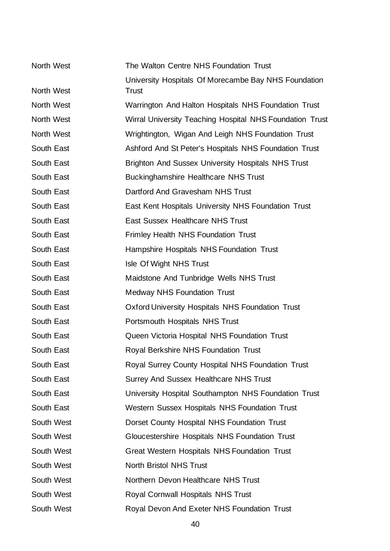| North West | The Walton Centre NHS Foundation Trust                               |
|------------|----------------------------------------------------------------------|
| North West | University Hospitals Of Morecambe Bay NHS Foundation<br><b>Trust</b> |
| North West | Warrington And Halton Hospitals NHS Foundation Trust                 |
| North West | Wirral University Teaching Hospital NHS Foundation Trust             |
| North West | Wrightington, Wigan And Leigh NHS Foundation Trust                   |
| South East | Ashford And St Peter's Hospitals NHS Foundation Trust                |
| South East | <b>Brighton And Sussex University Hospitals NHS Trust</b>            |
| South East | <b>Buckinghamshire Healthcare NHS Trust</b>                          |
| South East | Dartford And Gravesham NHS Trust                                     |
| South East | East Kent Hospitals University NHS Foundation Trust                  |
| South East | <b>East Sussex Healthcare NHS Trust</b>                              |
| South East | <b>Frimley Health NHS Foundation Trust</b>                           |
| South East | Hampshire Hospitals NHS Foundation Trust                             |
| South East | Isle Of Wight NHS Trust                                              |
| South East | Maidstone And Tunbridge Wells NHS Trust                              |
| South East | <b>Medway NHS Foundation Trust</b>                                   |
| South East | <b>Oxford University Hospitals NHS Foundation Trust</b>              |
| South East | Portsmouth Hospitals NHS Trust                                       |
| South East | Queen Victoria Hospital NHS Foundation Trust                         |
| South East | Royal Berkshire NHS Foundation Trust                                 |
| South East | Royal Surrey County Hospital NHS Foundation Trust                    |
| South East | <b>Surrey And Sussex Healthcare NHS Trust</b>                        |
| South East | University Hospital Southampton NHS Foundation Trust                 |
| South East | <b>Western Sussex Hospitals NHS Foundation Trust</b>                 |
| South West | Dorset County Hospital NHS Foundation Trust                          |
| South West | Gloucestershire Hospitals NHS Foundation Trust                       |
| South West | <b>Great Western Hospitals NHS Foundation Trust</b>                  |
| South West | <b>North Bristol NHS Trust</b>                                       |
| South West | Northern Devon Healthcare NHS Trust                                  |
| South West | <b>Royal Cornwall Hospitals NHS Trust</b>                            |
| South West | Royal Devon And Exeter NHS Foundation Trust                          |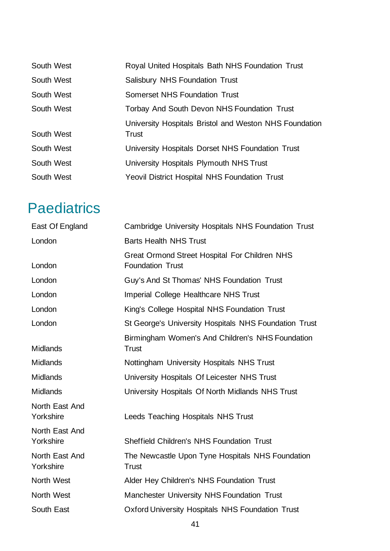| South West | Royal United Hospitals Bath NHS Foundation Trust                |
|------------|-----------------------------------------------------------------|
| South West | <b>Salisbury NHS Foundation Trust</b>                           |
| South West | Somerset NHS Foundation Trust                                   |
| South West | Torbay And South Devon NHS Foundation Trust                     |
| South West | University Hospitals Bristol and Weston NHS Foundation<br>Trust |
| South West | University Hospitals Dorset NHS Foundation Trust                |
| South West | University Hospitals Plymouth NHS Trust                         |
| South West | <b>Yeovil District Hospital NHS Foundation Trust</b>            |

### **Paediatrics**

| East Of England             | <b>Cambridge University Hospitals NHS Foundation Trust</b>                      |
|-----------------------------|---------------------------------------------------------------------------------|
| London                      | <b>Barts Health NHS Trust</b>                                                   |
| London                      | <b>Great Ormond Street Hospital For Children NHS</b><br><b>Foundation Trust</b> |
| London                      | Guy's And St Thomas' NHS Foundation Trust                                       |
| London                      | <b>Imperial College Healthcare NHS Trust</b>                                    |
| London                      | King's College Hospital NHS Foundation Trust                                    |
| London                      | St George's University Hospitals NHS Foundation Trust                           |
| <b>Midlands</b>             | Birmingham Women's And Children's NHS Foundation<br>Trust                       |
| <b>Midlands</b>             | Nottingham University Hospitals NHS Trust                                       |
| <b>Midlands</b>             | University Hospitals Of Leicester NHS Trust                                     |
| <b>Midlands</b>             | University Hospitals Of North Midlands NHS Trust                                |
| North East And<br>Yorkshire | Leeds Teaching Hospitals NHS Trust                                              |
| North East And<br>Yorkshire | <b>Sheffield Children's NHS Foundation Trust</b>                                |
| North East And<br>Yorkshire | The Newcastle Upon Tyne Hospitals NHS Foundation<br><b>Trust</b>                |
| North West                  | Alder Hey Children's NHS Foundation Trust                                       |
| North West                  | Manchester University NHS Foundation Trust                                      |
| South East                  | <b>Oxford University Hospitals NHS Foundation Trust</b>                         |
|                             |                                                                                 |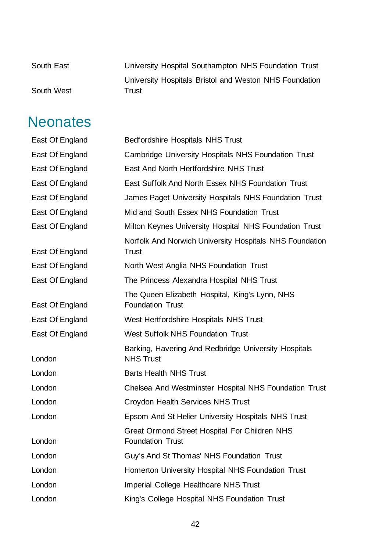| South East | University Hospital Southampton NHS Foundation Trust   |
|------------|--------------------------------------------------------|
|            | University Hospitals Bristol and Weston NHS Foundation |
| South West | Trust                                                  |

### **Neonates**

| East Of England | <b>Bedfordshire Hospitals NHS Trust</b>                                         |
|-----------------|---------------------------------------------------------------------------------|
| East Of England | Cambridge University Hospitals NHS Foundation Trust                             |
| East Of England | East And North Hertfordshire NHS Trust                                          |
| East Of England | East Suffolk And North Essex NHS Foundation Trust                               |
| East Of England | James Paget University Hospitals NHS Foundation Trust                           |
| East Of England | Mid and South Essex NHS Foundation Trust                                        |
| East Of England | Milton Keynes University Hospital NHS Foundation Trust                          |
| East Of England | Norfolk And Norwich University Hospitals NHS Foundation<br><b>Trust</b>         |
| East Of England | North West Anglia NHS Foundation Trust                                          |
| East Of England | The Princess Alexandra Hospital NHS Trust                                       |
| East Of England | The Queen Elizabeth Hospital, King's Lynn, NHS<br><b>Foundation Trust</b>       |
| East Of England | West Hertfordshire Hospitals NHS Trust                                          |
| East Of England | <b>West Suffolk NHS Foundation Trust</b>                                        |
| London          | Barking, Havering And Redbridge University Hospitals<br><b>NHS Trust</b>        |
| London          | <b>Barts Health NHS Trust</b>                                                   |
| London          | Chelsea And Westminster Hospital NHS Foundation Trust                           |
| London          | Croydon Health Services NHS Trust                                               |
| London          | Epsom And St Helier University Hospitals NHS Trust                              |
| London          | <b>Great Ormond Street Hospital For Children NHS</b><br><b>Foundation Trust</b> |
| London          | Guy's And St Thomas' NHS Foundation Trust                                       |
| London          | Homerton University Hospital NHS Foundation Trust                               |
| London          | <b>Imperial College Healthcare NHS Trust</b>                                    |
| London          | King's College Hospital NHS Foundation Trust                                    |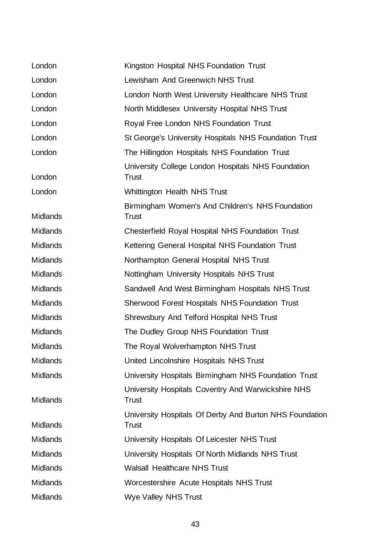| London          | Kingston Hospital NHS Foundation Trust                                  |
|-----------------|-------------------------------------------------------------------------|
| London          | Lewisham And Greenwich NHS Trust                                        |
| London          | London North West University Healthcare NHS Trust                       |
| London          | North Middlesex University Hospital NHS Trust                           |
| London          | Royal Free London NHS Foundation Trust                                  |
| London          | St George's University Hospitals NHS Foundation Trust                   |
| London          | The Hillingdon Hospitals NHS Foundation Trust                           |
| London          | University College London Hospitals NHS Foundation<br><b>Trust</b>      |
| London          | <b>Whittington Health NHS Trust</b>                                     |
| <b>Midlands</b> | Birmingham Women's And Children's NHS Foundation<br><b>Trust</b>        |
| <b>Midlands</b> | <b>Chesterfield Royal Hospital NHS Foundation Trust</b>                 |
| <b>Midlands</b> | Kettering General Hospital NHS Foundation Trust                         |
| <b>Midlands</b> | Northampton General Hospital NHS Trust                                  |
| <b>Midlands</b> | Nottingham University Hospitals NHS Trust                               |
| <b>Midlands</b> | Sandwell And West Birmingham Hospitals NHS Trust                        |
| <b>Midlands</b> | Sherwood Forest Hospitals NHS Foundation Trust                          |
| <b>Midlands</b> | Shrewsbury And Telford Hospital NHS Trust                               |
| <b>Midlands</b> | The Dudley Group NHS Foundation Trust                                   |
| <b>Midlands</b> | The Royal Wolverhampton NHS Trust                                       |
| <b>Midlands</b> | United Lincolnshire Hospitals NHS Trust                                 |
| <b>Midlands</b> | University Hospitals Birmingham NHS Foundation Trust                    |
| <b>Midlands</b> | University Hospitals Coventry And Warwickshire NHS<br><b>Trust</b>      |
| <b>Midlands</b> | University Hospitals Of Derby And Burton NHS Foundation<br><b>Trust</b> |
| <b>Midlands</b> | University Hospitals Of Leicester NHS Trust                             |
| <b>Midlands</b> | University Hospitals Of North Midlands NHS Trust                        |
| <b>Midlands</b> | <b>Walsall Healthcare NHS Trust</b>                                     |
| <b>Midlands</b> | Worcestershire Acute Hospitals NHS Trust                                |
| <b>Midlands</b> | <b>Wye Valley NHS Trust</b>                                             |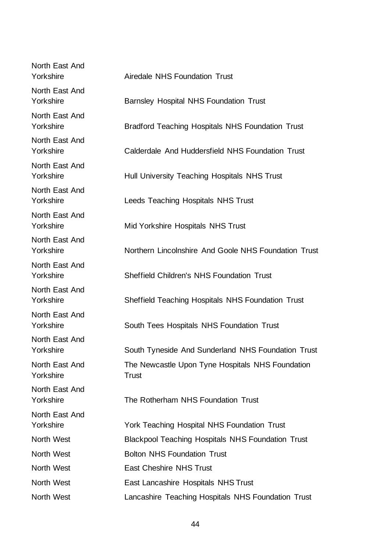| North East And<br>Yorkshire | <b>Airedale NHS Foundation Trust</b>                             |
|-----------------------------|------------------------------------------------------------------|
| North East And<br>Yorkshire | <b>Barnsley Hospital NHS Foundation Trust</b>                    |
| North East And<br>Yorkshire | <b>Bradford Teaching Hospitals NHS Foundation Trust</b>          |
| North East And<br>Yorkshire | Calderdale And Huddersfield NHS Foundation Trust                 |
| North East And<br>Yorkshire | Hull University Teaching Hospitals NHS Trust                     |
| North East And<br>Yorkshire | Leeds Teaching Hospitals NHS Trust                               |
| North East And<br>Yorkshire | Mid Yorkshire Hospitals NHS Trust                                |
| North East And<br>Yorkshire | Northern Lincolnshire And Goole NHS Foundation Trust             |
| North East And<br>Yorkshire | <b>Sheffield Children's NHS Foundation Trust</b>                 |
| North East And<br>Yorkshire | Sheffield Teaching Hospitals NHS Foundation Trust                |
| North East And<br>Yorkshire | South Tees Hospitals NHS Foundation Trust                        |
| North East And<br>Yorkshire | South Tyneside And Sunderland NHS Foundation Trust               |
| North East And<br>Yorkshire | The Newcastle Upon Tyne Hospitals NHS Foundation<br><b>Trust</b> |
| North East And<br>Yorkshire | The Rotherham NHS Foundation Trust                               |
| North East And<br>Yorkshire | York Teaching Hospital NHS Foundation Trust                      |
| North West                  | <b>Blackpool Teaching Hospitals NHS Foundation Trust</b>         |
| North West                  | <b>Bolton NHS Foundation Trust</b>                               |
| North West                  | <b>East Cheshire NHS Trust</b>                                   |
| North West                  | East Lancashire Hospitals NHS Trust                              |
| North West                  | Lancashire Teaching Hospitals NHS Foundation Trust               |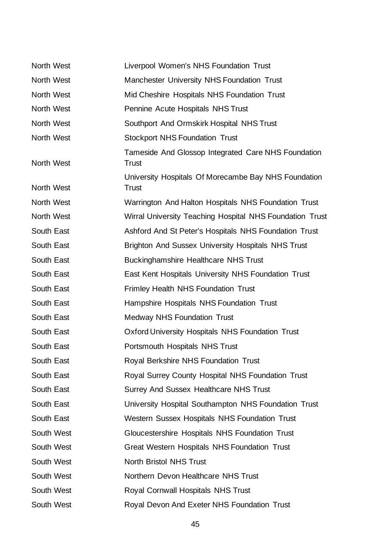| North West | Liverpool Women's NHS Foundation Trust                               |
|------------|----------------------------------------------------------------------|
| North West | Manchester University NHS Foundation Trust                           |
| North West | Mid Cheshire Hospitals NHS Foundation Trust                          |
| North West | Pennine Acute Hospitals NHS Trust                                    |
| North West | Southport And Ormskirk Hospital NHS Trust                            |
| North West | <b>Stockport NHS Foundation Trust</b>                                |
| North West | Tameside And Glossop Integrated Care NHS Foundation<br><b>Trust</b>  |
| North West | University Hospitals Of Morecambe Bay NHS Foundation<br><b>Trust</b> |
| North West | Warrington And Halton Hospitals NHS Foundation Trust                 |
| North West | Wirral University Teaching Hospital NHS Foundation Trust             |
| South East | Ashford And St Peter's Hospitals NHS Foundation Trust                |
| South East | <b>Brighton And Sussex University Hospitals NHS Trust</b>            |
| South East | <b>Buckinghamshire Healthcare NHS Trust</b>                          |
| South East | East Kent Hospitals University NHS Foundation Trust                  |
| South East | <b>Frimley Health NHS Foundation Trust</b>                           |
| South East | Hampshire Hospitals NHS Foundation Trust                             |
| South East | <b>Medway NHS Foundation Trust</b>                                   |
| South East | <b>Oxford University Hospitals NHS Foundation Trust</b>              |
| South East | Portsmouth Hospitals NHS Trust                                       |
| South East | Royal Berkshire NHS Foundation Trust                                 |
| South East | Royal Surrey County Hospital NHS Foundation Trust                    |
| South East | <b>Surrey And Sussex Healthcare NHS Trust</b>                        |
| South East | University Hospital Southampton NHS Foundation Trust                 |
| South East | Western Sussex Hospitals NHS Foundation Trust                        |
| South West | Gloucestershire Hospitals NHS Foundation Trust                       |
| South West | Great Western Hospitals NHS Foundation Trust                         |
| South West | <b>North Bristol NHS Trust</b>                                       |
| South West | Northern Devon Healthcare NHS Trust                                  |
| South West | <b>Royal Cornwall Hospitals NHS Trust</b>                            |
| South West | Royal Devon And Exeter NHS Foundation Trust                          |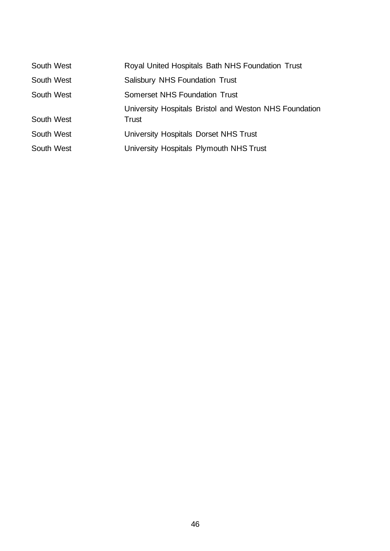| South West | Royal United Hospitals Bath NHS Foundation Trust                |
|------------|-----------------------------------------------------------------|
| South West | <b>Salisbury NHS Foundation Trust</b>                           |
| South West | Somerset NHS Foundation Trust                                   |
| South West | University Hospitals Bristol and Weston NHS Foundation<br>Trust |
| South West | University Hospitals Dorset NHS Trust                           |
| South West | University Hospitals Plymouth NHS Trust                         |